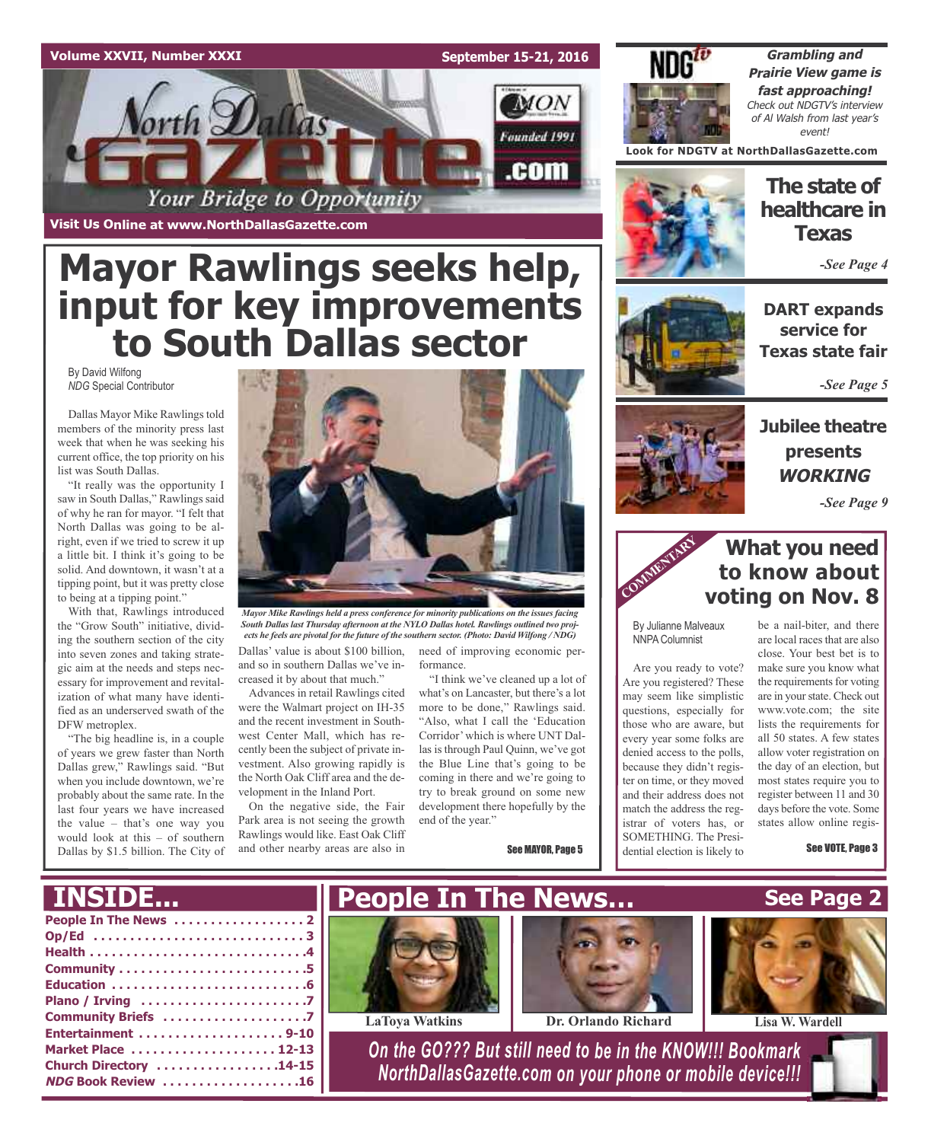#### **Volume XXVII, Number XXXI**

**September 15-21, 2016**

**MON** 

Founded 1991

.com



**Grambling and Prairie View game is fast approaching!** Check out NDGTV's interview of Al Walsh from last year's event!

**Look for NDGTV at NorthDallasGazette.com**



#### **The state of healthcare in Texas**

*-See Page 4*

**DART expands service for Texas state fair**

*-See Page 5*

### **Jubilee theatre presents WORKING**

*-See Page 9*

### **What you need to know about voting on Nov. 8**

By Julianne Malveaux NNPA Columnist

**COMME** 

Are you ready to vote? Are you registered? These may seem like simplistic questions, especially for those who are aware, but every year some folks are denied access to the polls, because they didn't register on time, or they moved and their address does not match the address the registrar of voters has, or SOMETHING. The Presidential election is likely to

be a nail-biter, and there are local racesthat are also close. Your best bet is to make sure you know what the requirements for voting are in yourstate. Check out www.vote.com; the site lists the requirements for all 50 states. A few states allow voter registration on the day of an election, but most states require you to register between 11 and 30 days before the vote. Some states allow online regis-

See VOTE, Page 3

**Mayor Rawlings seeks help, input for key improvements**

Your Bridge to Opportunity

**Visit Us Online at www.NorthDallasGazette.com**

Vorth Dallas

By David Wilfong *NDG* Special Contributor

Dallas Mayor Mike Rawlings told members of the minority press last week that when he was seeking his current office, the top priority on his list was South Dallas.

"It really was the opportunity I saw in South Dallas," Rawlings said of why he ran for mayor. "I felt that North Dallas was going to be alright, even if we tried to screw it up a little bit. I think it's going to be solid. And downtown, it wasn't at a tipping point, but it was pretty close to being at a tipping point."

With that, Rawlings introduced the "Grow South" initiative, dividing the southern section of the city into seven zones and taking strategic aim at the needs and steps necessary for improvement and revitalization of what many have identified as an underserved swath of the DFW metroplex.

"The big headline is, in a couple of years we grew faster than North Dallas grew," Rawlings said. "But when you include downtown, we're probably about the same rate. In the last four years we have increased the value – that's one way you would look at this – of southern Dallas by \$1.5 billion. The City of



Dallas' value is about \$100 billion, *Mayor Mike Rawlings held a press conference for minority publications on the issues facing South Dallas last Thursday afternoon at the NYLO Dallas hotel. Rawlings outlined two projects he feels are pivotal for the future of the southern sector. (Photo: David Wilfong / NDG)*

and so in southern Dallas we've increased it by about that much." Advances in retail Rawlings cited

were the Walmart project on IH-35 and the recent investment in Southwest Center Mall, which has recently been the subject of private investment. Also growing rapidly is the North Oak Cliff area and the development in the Inland Port.

On the negative side, the Fair Park area is not seeing the growth Rawlings would like. East Oak Cliff and other nearby areas are also in

need of improving economic performance.

"I think we've cleaned up a lot of what's on Lancaster, but there's a lot more to be done," Rawlings said. "Also, what I call the 'Education Corridor'which is where UNT Dallas is through Paul Quinn, we've got the Blue Line that's going to be coming in there and we're going to try to break ground on some new development there hopefully by the end of the year."

See MAYOR, Page 5

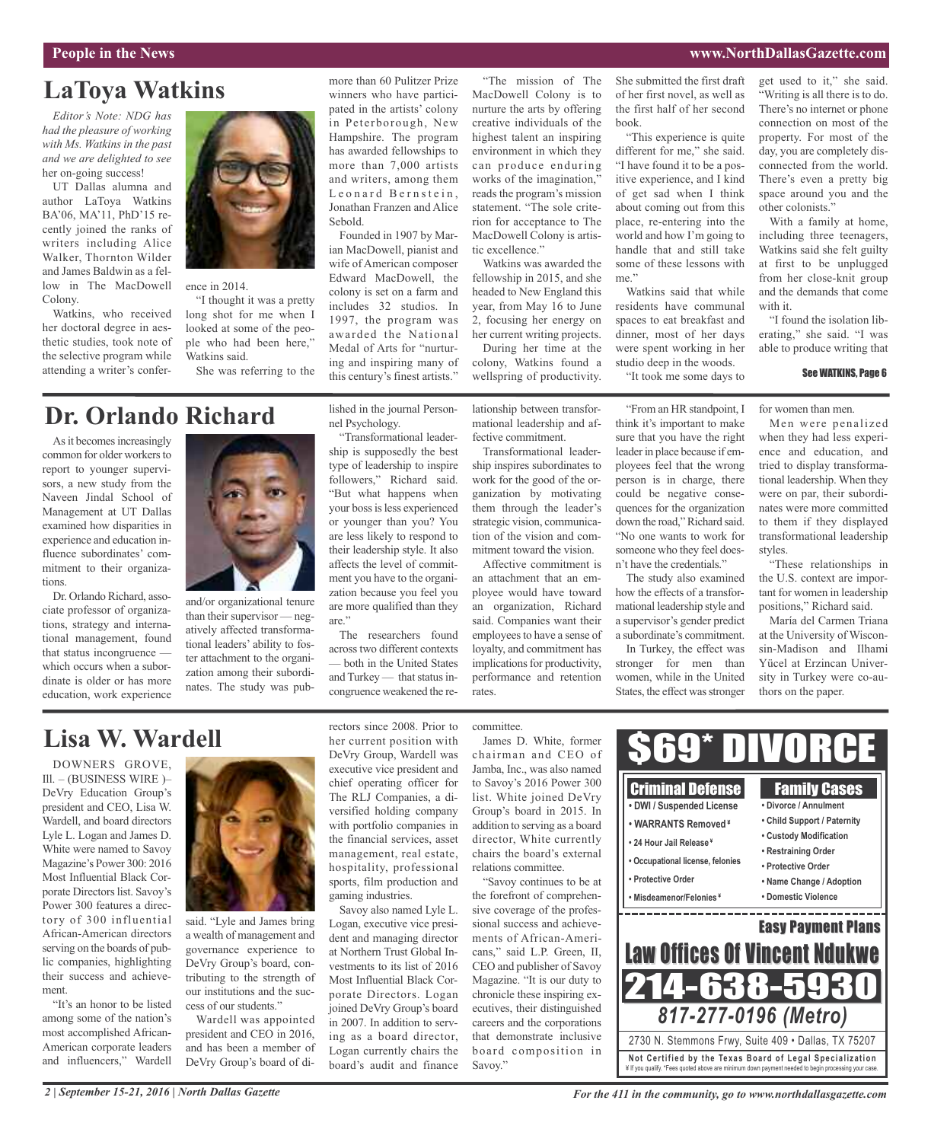#### **People in the News www.NorthDallasGazette.com**

### **LaToya Watkins**

*Editor's Note: NDG has had the pleasure of working with Ms. Watkins in the past and we are delighted to see* her on-going success!

UT Dallas alumna and author LaToya Watkins BA'06, MA'11, PhD'15 recently joined the ranks of writers including Alice Walker, Thornton Wilder and James Baldwin as a fellow in The MacDowell Colony.

Watkins, who received her doctoral degree in aesthetic studies, took note of the selective program while attending a writer's confer-

mitment to their organiza-

ciate professor of organizations, strategy and international management, found that status incongruence which occurs when a subordinate is older or has more education, work experience

tions.



ence in 2014.

"I thought it was a pretty long shot for me when I looked at some of the people who had been here," Watkins said.

She was referring to the

#### more than 60 Pulitzer Prize winners who have participated in the artists' colony in Peterborough, New Hampshire. The program has awarded fellowships to more than 7,000 artists and writers, among them Leonard Bernstein, Jonathan Franzen and Alice Sebold.

Founded in 1907 by Marian MacDowell, pianist and wife of American composer Edward MacDowell, the colony is set on a farm and includes 32 studios. In 1997, the program was awarded the National Medal of Arts for "nurturing and inspiring many of this century's finest artists."

"The mission of The MacDowell Colony is to nurture the arts by offering creative individuals of the highest talent an inspiring environment in which they can produce enduring works of the imagination," reads the program's mission statement. "The sole criterion for acceptance to The MacDowell Colony is artistic excellence."

Watkins was awarded the fellowship in 2015, and she headed to New England this year, from May 16 to June 2, focusing her energy on her current writing projects.

During her time at the colony, Watkins found a wellspring of productivity.

lationship between transformational leadership and affective commitment.

Transformational leadership inspires subordinates to work for the good of the organization by motivating them through the leader's strategic vision, communication of the vision and commitment toward the vision.

Affective commitment is an attachment that an employee would have toward an organization, Richard said. Companies want their employees to have a sense of loyalty, and commitment has implications for productivity, performance and retention rates.

She submitted the first draft of her first novel, as well as the first half of her second book.

"This experience is quite different for me," she said. "I have found it to be a positive experience, and I kind of get sad when I think about coming out from this place, re-entering into the world and how I'm going to handle that and still take some of these lessons with me."

Watkins said that while residents have communal spaces to eat breakfast and dinner, most of her days were spent working in her studio deep in the woods.

"It took me some days to

"From an HR standpoint, I think it's important to make sure that you have the right leader in place because if employees feel that the wrong person is in charge, there could be negative consequences for the organization down the road," Richard said. "No one wants to work for someone who they feel doesn't have the credentials." The study also examined how the effects of a transformational leadership style and a supervisor's gender predict a subordinate's commitment.

get used to it," she said. "Writing is all there is to do. There's no internet or phone connection on most of the property. For most of the day, you are completely disconnected from the world. There's even a pretty big space around you and the other colonists."

With a family at home, including three teenagers, Watkins said she felt guilty at first to be unplugged from her close-knit group and the demands that come with it.

"I found the isolation liberating," she said. "I was able to produce writing that

#### See WATKINS, Page 6

for women than men.

Men were penalized when they had less experience and education, and tried to display transformational leadership. When they were on par, their subordinates were more committed to them if they displayed transformational leadership styles.

"These relationships in the U.S. context are important for women in leadership positions," Richard said.

María del Carmen Triana at the University of Wisconsin-Madison and Ilhami Yücel at Erzincan University in Turkey were co-au-



and/or organizational tenure than their supervisor — negatively affected transformational leaders' ability to foster attachment to the organization among their subordinates. The study was pubnel Psychology. "Transformational leadership is supposedly the best

lished in the journal Person-

type of leadership to inspire followers," Richard said. "But what happens when your boss is less experienced or younger than you? You are less likely to respond to their leadership style. It also affects the level of commitment you have to the organization because you feel you are more qualified than they are."

The researchers found acrosstwo different contexts — both in the United States and Turkey  $-$  that status incongruence weakened the re-

**Lisa W. Wardell**

DOWNERS GROVE, Ill. – (BUSINESS WIRE )– DeVry Education Group's president and CEO, Lisa W. Wardell, and board directors Lyle L. Logan and James D. White were named to Savoy Magazine's Power 300: 2016 Most Influential Black Corporate Directors list. Savoy's Power 300 features a directory of 300 influential African-American directors serving on the boards of public companies, highlighting their success and achievement.

"It's an honor to be listed among some of the nation's most accomplished African-American corporate leaders and influencers," Wardell



said. "Lyle and James bring a wealth of management and governance experience to DeVry Group's board, contributing to the strength of our institutions and the success of our students."

Wardell was appointed president and CEO in 2016, and has been a member of DeVry Group's board of directors since 2008. Prior to her current position with DeVry Group, Wardell was executive vice president and chief operating officer for The RLJ Companies, a diversified holding company with portfolio companies in the financial services, asset management, real estate, hospitality, professional sports, film production and gaming industries.

Savoy also named Lyle L. Logan, executive vice president and managing director at Northern Trust Global Investments to its list of 2016 Most Influential Black Corporate Directors. Logan joined DeVry Group's board in 2007. In addition to serving as a board director, Logan currently chairs the board's audit and finance

committee.

James D. White, former chairman and CEO of Jamba, Inc., was also named to Savoy's 2016 Power 300 list. White joined DeVry Group's board in 2015. In addition to serving as a board director, White currently chairs the board's external relations committee.

"Savoy continues to be at the forefront of comprehensive coverage of the professional success and achievements of African-Americans," said L.P. Green, II, CEO and publisher of Savoy Magazine. "It is our duty to chronicle these inspiring executives, their distinguished careers and the corporations that demonstrate inclusive board composition in Savoy."

In Turkey, the effect was stronger for men than women, while in the United States, the effect was stronger thors on the paper.  $69*$  D Criminal Defense Family Cases **• DWI / Suspended License • Divorce / Annulment • Child Support / Paternity • WARRANTS Removed ¥ • Custody Modification • 24 Hour Jail Release ¥ • Restraining Order • Occupational license, felonies • Protective Order • Protective Order • Name Change / Adoption • Misdeamenor/Felonies ¥ • Domestic Violence** and the control of the control of the control of the control of the control of \_\_\_\_\_\_\_\_\_\_\_\_ Easy Payment Plans Law Offices Of Vincent Ndukwe 214-638-5930 *817-277-0196 (Metro)*

> **Not Ce rtified by the Te x a s Boa rd of Lega l Spe c ia l i za tion** ¥ If you qualify. \*Fees quoted above are minimum down payment needed to begin processing your case. 2730 N. Stemmons Frwy, Suite 409 • Dallas, TX 75207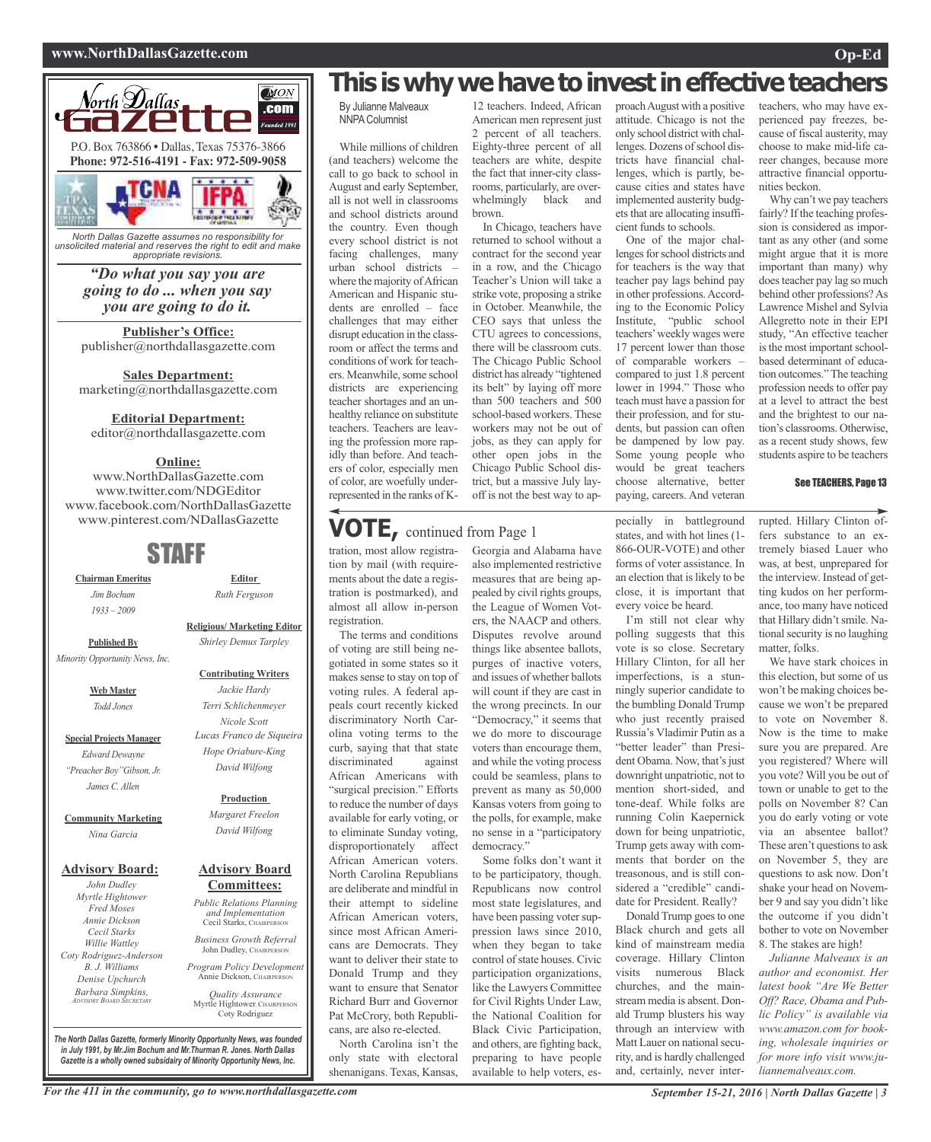#### **www.NorthDallasGazette.com Op-Ed**



*North Dallas Gazette assumes no responsibility for unsolicited material and reserves the right to edit and make appropriate revisions.*

> *"Do what you say you are going to do ... when you say you are going to do it.*

**Publisher's Office:** publisher@northdallasgazette.com

**Sales Department:** marketing@northdallasgazette.com

#### **Editorial Department:**

editor@northdallasgazette.com

#### **Online:**

www.NorthDallasGazette.com www.twitter.com/NDGEditor www.facebook.com/NorthDallasGazette www.pinterest.com/NDallasGazette

### STAFF

**Chairman Emeritus** *Jim Bochum 1933 – 2009*

**Religious/ Marketing Editor**

**Published By** *Minority Opportunity News, Inc.*

> **Web Master** *Todd Jones*

**Special Projects Manager** *Edward Dewayne "Preacher Boy"Gibson, Jr. James C. Allen*

**Community Marketing** *Nina Garcia*

#### **Advisory Board:**

*John Dudley Myrtle Hightower Fred Moses Annie Dickson Cecil Starks Willie Wattley Coty Rodriguez-Anderson B. J. Williams Denise Upchurch Barbara Simpkins, ADVISORY BOARD SECRETARY*

#### **Contributing Writers** *Jackie Hardy Terri Schlichenmeyer Nicole Scott Lucas Franco de Siqueira Hope Oriabure-King David Wilfong*

**Editor** *Ruth Ferguson*

*Shirley Demus Tarpley*

#### **Production**

*Margaret Freelon David Wilfong*

#### **Advisory Board Committees:**

*Public Relations Planning and Implementation* Cecil Starks, CHAIRPERSON

*Business Growth Referral* John Dudley, CHAIRPERSO

*Program Policy Development* Annie Dickson, CHAIRPER

*Quality Assurance* Myrtle Hightower, CHAIRPERSON Coty Rodriguez

*The North Dallas Gazette, formerly Minority Opportunity News, was founded in July 1991, by Mr.Jim Bochum and Mr.Thurman R. Jones. North Dallas Gazette is a wholly owned subsidairy of Minority Opportunity News, Inc.*

### **This is why we have to invest in effective teachers**

12 teachers. Indeed, African American men represent just 2 percent of all teachers. Eighty-three percent of all teachers are white, despite the fact that inner-city classrooms, particularly, are overwhelmingly black and

In Chicago, teachers have returned to school without a contract for the second year in a row, and the Chicago Teacher's Union will take a strike vote, proposing a strike in October. Meanwhile, the CEO says that unless the CTU agrees to concessions, there will be classroom cuts. The Chicago Public School district has already "tightened its belt" by laying off more than 500 teachers and 500 school-based workers. These workers may not be out of jobs, as they can apply for other open jobs in the Chicago Public School district, but a massive July layoff is not the best way to ap-

brown.

By Julianne Malveaux **NNPA Columnist** 

While millions of children (and teachers) welcome the call to go back to school in August and early September, all is not well in classrooms and school districts around the country. Even though every school district is not facing challenges, many urban school districts – where the majority of African American and Hispanic students are enrolled – face challenges that may either disrupt education in the classroom or affect the terms and conditions of work for teachers. Meanwhile, some school districts are experiencing teacher shortages and an unhealthy reliance on substitute teachers. Teachers are leaving the profession more rapidly than before. And teachers of color, especially men of color, are woefully underrepresented in the ranks of K-

### **VOTE,** continued from Page <sup>1</sup>

tration, most allow registration by mail (with requirements about the date a registration is postmarked), and almost all allow in-person registration.

The terms and conditions of voting are still being negotiated in some states so it makes sense to stay on top of voting rules. A federal appeals court recently kicked discriminatory North Carolina voting terms to the curb, saying that that state<br>discriminated against discriminated African Americans with "surgical precision." Efforts to reduce the number of days available for early voting, or to eliminate Sunday voting, disproportionately affect African American voters. North Carolina Republians are deliberate and mindful in their attempt to sideline African American voters, since most African Americans are Democrats. They want to deliver their state to Donald Trump and they want to ensure that Senator Richard Burr and Governor Pat McCrory, both Republicans, are also re-elected.

North Carolina isn't the only state with electoral shenanigans. Texas, Kansas,

Georgia and Alabama have also implemented restrictive measures that are being appealed by civil rights groups, the League of Women Voters, the NAACP and others. Disputes revolve around things like absentee ballots, purges of inactive voters, and issues of whether ballots will count if they are cast in the wrong precincts. In our "Democracy," it seems that we do more to discourage voters than encourage them, and while the voting process could be seamless, plans to prevent as many as 50,000 Kansas voters from going to the polls, for example, make no sense in a "participatory democracy.' Some folks don't want it

to be participatory, though. Republicans now control most state legislatures, and have been passing voter suppression laws since 2010, when they began to take control of state houses. Civic participation organizations, like the Lawyers Committee for Civil Rights Under Law, the National Coalition for Black Civic Participation, and others, are fighting back, preparing to have people available to help voters, esproachAugust with a positive attitude. Chicago is not the only school district with challenges. Dozens of school districts have financial challenges, which is partly, because cities and states have implemented austerity budgets that are allocating insufficient funds to schools.

One of the major challenges for school districts and for teachers is the way that teacher pay lags behind pay in other professions.According to the Economic Policy Institute, "public school teachers'weekly wages were 17 percent lower than those of comparable workers – compared to just 1.8 percent lower in 1994." Those who teach must have a passion for their profession, and for students, but passion can often be dampened by low pay. Some young people who would be great teachers choose alternative, better paying, careers. And veteran

pecially in battleground states, and with hot lines (1- 866-OUR-VOTE) and other forms of voter assistance. In an election that is likely to be close, it is important that every voice be heard.

I'm still not clear why polling suggests that this vote is so close. Secretary Hillary Clinton, for all her imperfections, is a stunningly superior candidate to the bumbling Donald Trump who just recently praised Russia's Vladimir Putin as a "better leader" than President Obama. Now, that's just downright unpatriotic, not to mention short-sided, and tone-deaf. While folks are running Colin Kaepernick down for being unpatriotic, Trump gets away with comments that border on the treasonous, and is still considered a "credible" candidate for President. Really? Donald Trump goes to one Black church and gets all kind of mainstream media coverage. Hillary Clinton visits numerous Black churches, and the mainstream media is absent. Donald Trump blusters his way through an interview with Matt Lauer on national security, and is hardly challenged and, certainly, never inter-

teachers, who may have experienced pay freezes, because of fiscal austerity, may choose to make mid-life career changes, because more attractive financial opportunities beckon.

Why can't we pay teachers fairly? If the teaching profession is considered as important as any other (and some might argue that it is more important than many) why does teacher pay lag so much behind other professions?As Lawrence Mishel and Sylvia Allegretto note in their EPI study, "An effective teacher is the most important schoolbased determinant of education outcomes."The teaching profession needs to offer pay at a level to attract the best and the brightest to our nation's classrooms. Otherwise, as a recent study shows, few students aspire to be teachers

#### See TEACHERS, Page 13

rupted. Hillary Clinton offers substance to an extremely biased Lauer who was, at best, unprepared for the interview. Instead of getting kudos on her performance, too many have noticed that Hillary didn'tsmile. National security is no laughing matter, folks.

We have stark choices in this election, but some of us won't be making choices because we won't be prepared to vote on November 8. Now is the time to make sure you are prepared. Are you registered? Where will you vote? Will you be out of town or unable to get to the polls on November 8? Can you do early voting or vote via an absentee ballot? These aren't questions to ask on November 5, they are questions to ask now. Don't shake your head on November 9 and say you didn't like the outcome if you didn't bother to vote on November 8. The stakes are high!

*Julianne Malveaux is an author and economist. Her latest book "Are We Better Off? Race, Obama and Public Policy" is available via www.amazon.com for booking, wholesale inquiries or for more info visit www.juliannemalveaux.com.*

For the 411 in the community, go to www.northdallasgazette.com September 15-21, 2016 | North Dallas Gazette | 3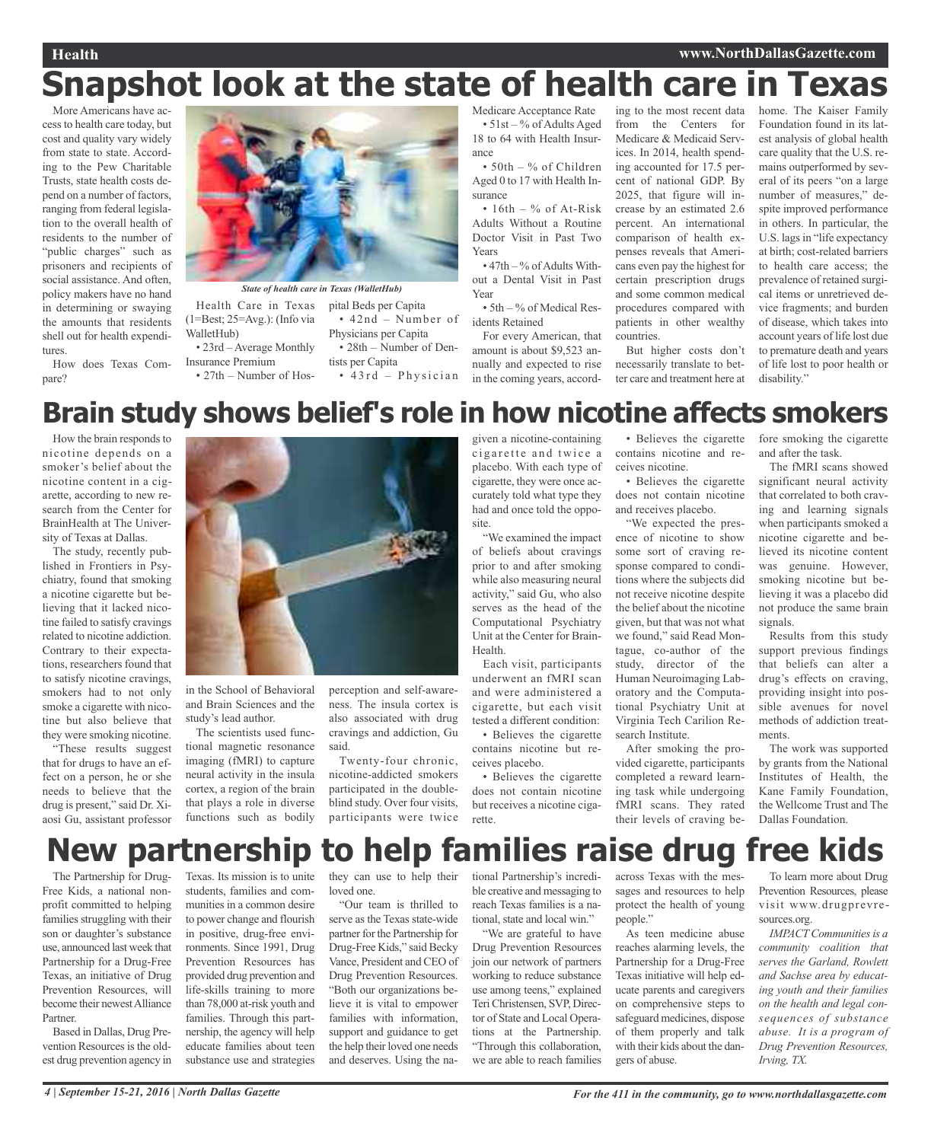#### **Health www.NorthDallasGazette.com**

# **Snapshot look at the state of health care in Texas**

More Americans have accessto health care today, but cost and quality vary widely from state to state. According to the Pew Charitable Trusts, state health costs depend on a number of factors, ranging from federal legislation to the overall health of residents to the number of "public charges" such as prisoners and recipients of social assistance. And often, policy makers have no hand in determining or swaying the amounts that residents shell out for health expenditures.

How does Texas Compare?



pital Beds per Capita

Physicians per Capita

tists per Capita

• 42nd – Number of

• 28th – Number of Den-

 $• 43rd - Physician$ 

Health Care in Texas (1=Best; 25=Avg.): (Info via WalletHub)

• 23rd – Average Monthly Insurance Premium

• 27th – Number of Hos-

Medicare Acceptance Rate  $\cdot$  51st – % of Adults Aged 18 to 64 with Health Insurance

• 50th – % of Children Aged 0 to 17 with Health Insurance

• 16th – % of At-Risk Adults Without a Routine Doctor Visit in Past Two Years

 $\cdot$  47th  $-$ % of Adults Without a Dental Visit in Past Year

• 5th – % of Medical Residents Retained

For every American, that amount is about \$9,523 annually and expected to rise in the coming years, accord-

ing to the most recent data from the Centers for Medicare & Medicaid Services. In 2014, health spending accounted for 17.5 percent of national GDP. By 2025, that figure will increase by an estimated 2.6 percent. An international comparison of health expenses reveals that Americans even pay the highest for certain prescription drugs and some common medical procedures compared with patients in other wealthy countries. But higher costs don't

necessarily translate to better care and treatment here at

home. The Kaiser Family Foundation found in its latest analysis of global health care quality that the U.S. remains outperformed by several of its peers "on a large number of measures," despite improved performance in others. In particular, the U.S. lags in "life expectancy" at birth; cost-related barriers to health care access; the prevalence of retained surgical items or unretrieved device fragments; and burden of disease, which takes into account years of life lost due to premature death and years of life lost to poor health or disability."

### **Brain study shows belief's role in how nicotine affects smokers**

How the brain responds to nicotine depends on a smoker's belief about the nicotine content in a cigarette, according to new research from the Center for BrainHealth at The University of Texas at Dallas.

The study, recently published in Frontiers in Psychiatry, found that smoking a nicotine cigarette but believing that it lacked nicotine failed to satisfy cravings related to nicotine addiction. Contrary to their expectations, researchers found that to satisfy nicotine cravings, smokers had to not only smoke a cigarette with nicotine but also believe that they were smoking nicotine.

"These results suggest that for drugs to have an effect on a person, he or she needs to believe that the drug is present," said Dr. Xiaosi Gu, assistant professor



in the School of Behavioral and Brain Sciences and the study's lead author.

The scientists used functional magnetic resonance imaging (fMRI) to capture neural activity in the insula cortex, a region of the brain that plays a role in diverse functions such as bodily

perception and self-awareness. The insula cortex is also associated with drug cravings and addiction, Gu said.

Twenty-four chronic, nicotine-addicted smokers participated in the doubleblind study. Over four visits, participants were twice

given a nicotine-containing cigarette and twice a placebo. With each type of cigarette, they were once accurately told what type they had and once told the opposite.

"We examined the impact of beliefs about cravings prior to and after smoking while also measuring neural activity," said Gu, who also serves as the head of the Computational Psychiatry Unit at the Center for Brain-Health.

Each visit, participants underwent an fMRI scan and were administered a cigarette, but each visit tested a different condition:

• Believes the cigarette contains nicotine but receives placebo.

• Believes the cigarette does not contain nicotine but receives a nicotine ciga-

• Believes the cigarette contains nicotine and receives nicotine.

• Believes the cigarette does not contain nicotine and receives placebo.

"We expected the presence of nicotine to show some sort of craving response compared to conditions where the subjects did not receive nicotine despite the belief about the nicotine given, but that was not what we found," said Read Montague, co-author of the study, director of the Human Neuroimaging Laboratory and the Computational Psychiatry Unit at Virginia Tech Carilion Research Institute.

After smoking the provided cigarette, participants completed a reward learning task while undergoing fMRI scans. They rated their levels of craving before smoking the cigarette and after the task.

The fMRI scans showed significant neural activity that correlated to both craving and learning signals when participants smoked a nicotine cigarette and believed its nicotine content was genuine. However, smoking nicotine but believing it was a placebo did not produce the same brain signals

Results from this study support previous findings that beliefs can alter a drug's effects on craving, providing insight into possible avenues for novel methods of addiction treatments.

The work was supported by grants from the National Institutes of Health, the Kane Family Foundation, the Wellcome Trust and The Dallas Foundation.

### **New partnership to help families raise drug free kids**

rette.

The Partnership for Drug-Free Kids, a national nonprofit committed to helping families struggling with their son or daughter's substance use, announced last week that Partnership for a Drug-Free Texas, an initiative of Drug Prevention Resources, will become their newest Alliance Partner.

Based in Dallas, Drug Prevention Resources is the oldest drug prevention agency in

Texas. Its mission is to unite students, families and communities in a common desire to power change and flourish in positive, drug-free environments. Since 1991, Drug Prevention Resources has provided drug prevention and life-skills training to more than 78,000 at-risk youth and families. Through this partnership, the agency will help educate families about teen substance use and strategies

they can use to help their loved one.

"Our team is thrilled to serve as the Texas state-wide partner for the Partnership for Drug-Free Kids," said Becky Vance, President and CEO of Drug Prevention Resources. "Both our organizations believe it is vital to empower families with information, support and guidance to get the help their loved one needs and deserves. Using the national Partnership's incredible creative and messaging to reach Texas families is a national, state and local win."

"We are grateful to have Drug Prevention Resources join our network of partners working to reduce substance use among teens," explained TeriChristensen, SVP, Director of State and Local Operations at the Partnership. "Through this collaboration, we are able to reach families

across Texas with the messages and resources to help protect the health of young people."

As teen medicine abuse reaches alarming levels, the Partnership for a Drug-Free Texas initiative will help educate parents and caregivers on comprehensive steps to safeguard medicines, dispose of them properly and talk with their kids about the dangers of abuse.

To learn more about Drug Prevention Resources, please visit www.drugprevresources.org.

*IMPACT Communities is a community coalition that serves the Garland, Rowlett and Sachse area by educating youth and their families on the health and legal consequences of substance abuse. It is a program of Drug Prevention Resources, Irving, TX.*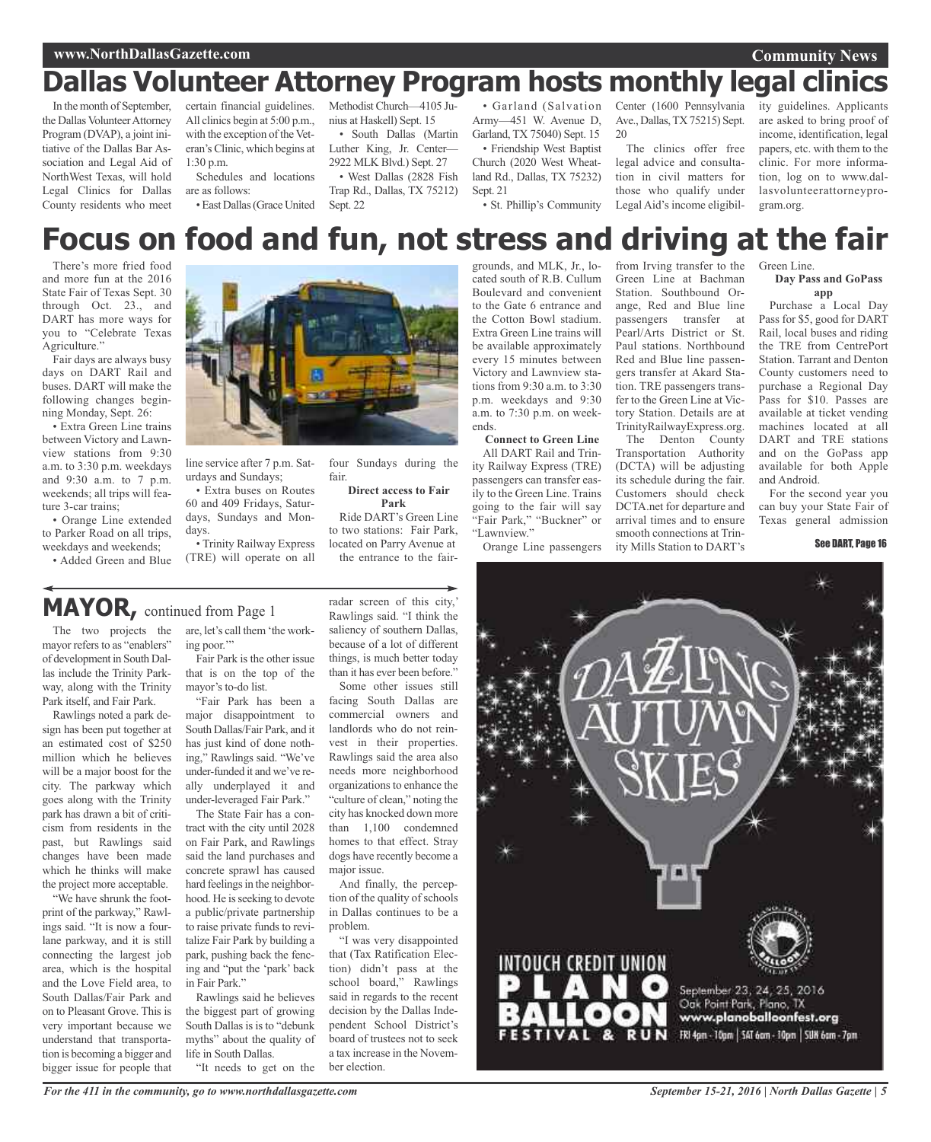#### **www.NorthDallasGazette.com**

#### **Community News**

### **Dallas Volunteer Attorney Program hosts monthly legal clinics**

In the month of September, the Dallas Volunteer Attorney Program (DVAP), a joint initiative of the Dallas Bar Association and Legal Aid of NorthWest Texas, will hold Legal Clinics for Dallas County residents who meet

certain financial guidelines. All clinics begin at 5:00 p.m., with the exception of the Veteran's Clinic, which begins at 1:30 p.m.

Schedules and locations are as follows:

•East Dallas(Grace United

Methodist Church—4105 Junius at Haskell) Sept. 15

• South Dallas (Martin Luther King, Jr. Center— 2922 MLK Blvd.) Sept. 27

• West Dallas (2828 Fish Trap Rd., Dallas, TX 75212) Sept. 22

• Garland (Salvation Army—451 W. Avenue D, Garland, TX 75040) Sept. 15 • Friendship West Baptist Church (2020 West Wheatland Rd., Dallas, TX 75232) Sept. 21

• St. Phillip's Community

Center (1600 Pennsylvania Ave., Dallas,TX 75215) Sept.  $20$ 

The clinics offer free legal advice and consultation in civil matters for those who qualify under Legal Aid's income eligibil-

ity guidelines. Applicants are asked to bring proof of income, identification, legal papers, etc. with them to the clinic. For more information, log on to www.dallasvolunteerattorneyprogram.org.

### **Focus on food and fun, not stress and driving at the fair**

There's more fried food and more fun at the 2016 State Fair of Texas Sept. 30 through Oct. 23., and DART has more ways for you to "Celebrate Texas Agriculture."

Fair days are always busy days on DART Rail and buses. DART will make the following changes beginning Monday, Sept. 26:

• Extra Green Line trains between Victory and Lawnview stations from 9:30 a.m. to 3:30 p.m. weekdays and 9:30 a.m. to 7 p.m. weekends; all trips will feature 3-car trains;

• Orange Line extended to Parker Road on all trips, weekdays and weekends;

• Added Green and Blue



line service after 7 p.m. Saturdays and Sundays;

• Extra buses on Routes 60 and 409 Fridays, Saturdays, Sundays and Mondays.

• Trinity Railway Express (TRE) will operate on all

four Sundays during the fair.

**Direct access to Fair Park** Ride DART's Green Line

to two stations: Fair Park, located on Parry Avenue at the entrance to the fair-

### **MAYOR,** continued from Page <sup>1</sup>

The two projects the are, let's call them 'the workmayor refers to as "enablers" of development in South Dallas include the Trinity Parkway, along with the Trinity Park itself, and Fair Park.

Rawlings noted a park design has been put together at an estimated cost of \$250 million which he believes will be a major boost for the city. The parkway which goes along with the Trinity park has drawn a bit of criticism from residents in the past, but Rawlings said changes have been made which he thinks will make the project more acceptable.

"We have shrunk the footprint of the parkway," Rawlings said. "It is now a fourlane parkway, and it is still connecting the largest job area, which is the hospital and the Love Field area, to South Dallas/Fair Park and on to Pleasant Grove. This is very important because we understand that transportation is becoming a bigger and bigger issue for people that

ing poor." Fair Park is the other issue

that is on the top of the mayor's to-do list.

"Fair Park has been a major disappointment to South Dallas/Fair Park, and it has just kind of done nothing," Rawlings said. "We've under-funded it and we've really underplayed it and under-leveraged Fair Park."

The State Fair has a contract with the city until 2028 on Fair Park, and Rawlings said the land purchases and concrete sprawl has caused hard feelings in the neighborhood. He is seeking to devote a public/private partnership to raise private funds to revitalize Fair Park by building a park, pushing back the fencing and "put the 'park' back in Fair Park."

Rawlings said he believes the biggest part of growing South Dallas is is to "debunk" myths" about the quality of life in South Dallas.

"It needs to get on the

radar screen of this city,' Rawlings said. "I think the saliency of southern Dallas, because of a lot of different things, is much better today than it has ever been before."

Some other issues still facing South Dallas are commercial owners and landlords who do not reinvest in their properties. Rawlings said the area also needs more neighborhood organizations to enhance the "culture of clean," noting the city has knocked down more than 1,100 condemned homes to that effect. Stray dogs have recently become a major issue.

And finally, the perception of the quality of schools in Dallas continues to be a problem.

"I was very disappointed that (Tax Ratification Election) didn't pass at the school board," Rawlings said in regards to the recent decision by the Dallas Independent School District's board of trustees not to seek a tax increase in the November election.

grounds, and MLK, Jr., located south of R.B. Cullum Boulevard and convenient to the Gate 6 entrance and the Cotton Bowl stadium. Extra Green Line trains will be available approximately every 15 minutes between Victory and Lawnview stations from 9:30 a.m. to 3:30 p.m. weekdays and 9:30 a.m. to 7:30 p.m. on weekends.

**Connect to Green Line** All DART Rail and Trinity Railway Express (TRE) passengers can transfer easily to the Green Line. Trains going to the fair will say "Fair Park," "Buckner" or "Lawnview."

Orange Line passengers

from Irving transfer to the Green Line at Bachman Station. Southbound Orange, Red and Blue line passengers transfer at Pearl/Arts District or St. Paul stations. Northbound Red and Blue line passengers transfer at Akard Station. TRE passengers transfer to the Green Line at Victory Station. Details are at TrinityRailwayExpress.org.

The Denton County Transportation Authority (DCTA) will be adjusting its schedule during the fair. Customers should check DCTA.net for departure and arrival times and to ensure smooth connections at Trinity Mills Station to DART's

Green Line. **Day Pass and GoPass**

#### **app**

Purchase a Local Day Pass for \$5, good for DART Rail, local buses and riding the TRE from CentrePort Station. Tarrant and Denton County customers need to purchase a Regional Day Pass for \$10. Passes are available at ticket vending machines located at all DART and TRE stations and on the GoPass app available for both Apple and Android.

For the second year you can buy your State Fair of Texas general admission

See DART, Page 16

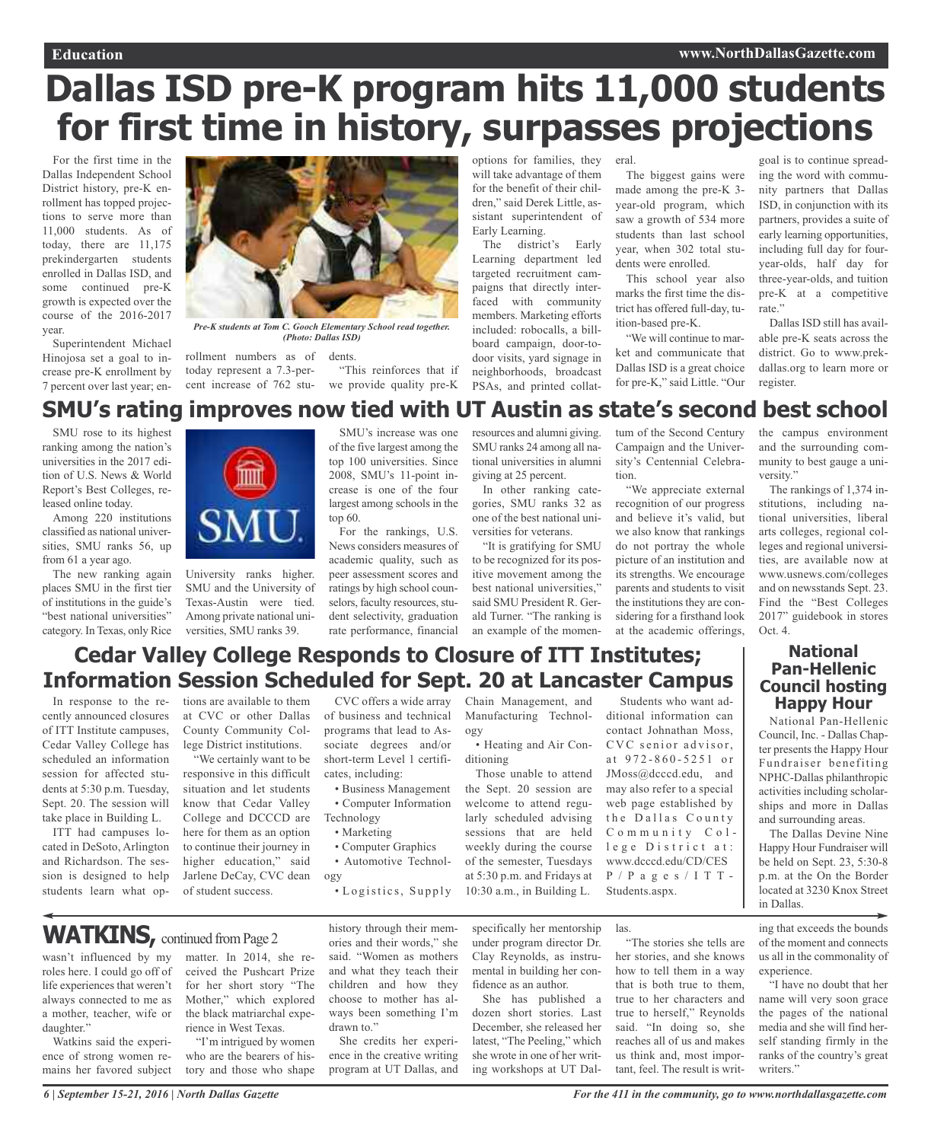## **Dallas ISD pre-K program hits 11,000 students for first time in history, surpasses projections**

For the first time in the Dallas Independent School District history, pre-K enrollment has topped projections to serve more than 11,000 students. As of today, there are 11,175 prekindergarten students enrolled in Dallas ISD, and some continued pre-K growth is expected over the course of the 2016-2017 year.

Superintendent Michael Hinojosa set a goal to increase pre-K enrollment by 7 percent over last year; en-



*Pre-K students at Tom C. Gooch Elementary School read together. (Photo: Dallas ISD)*

rollment numbers as of dents.

today represent a 7.3-percent increase of 762 stu-we provide quality pre-K "This reinforces that if options for families, they will take advantage of them for the benefit of their children," said Derek Little, assistant superintendent of Early Learning.

The district's Early Learning department led targeted recruitment campaigns that directly interfaced with community members. Marketing efforts included: robocalls, a billboard campaign, door-todoor visits, yard signage in neighborhoods, broadcast PSAs, and printed collateral.

The biggest gains were made among the pre-K 3 year-old program, which saw a growth of 534 more students than last school year, when 302 total students were enrolled.

This school year also marks the first time the district has offered full-day, tuition-based pre-K.

"We will continue to market and communicate that Dallas ISD is a great choice for pre-K," said Little. "Our

goal is to continue spreading the word with community partners that Dallas ISD, in conjunction with its partners, provides a suite of early learning opportunities, including full day for fouryear-olds, half day for three-year-olds, and tuition pre-K at a competitive rate."

Dallas ISD still has available pre-K seats across the district. Go to www.prekdallas.org to learn more or register.

### **SMU's rating improves now tied with UT Austin as state's second best school**

SMU rose to its highest ranking among the nation's universities in the 2017 edition of U.S. News & World Report's Best Colleges, released online today.

Among 220 institutions classified as national universities, SMU ranks 56, up from 61 a year ago.

The new ranking again places SMU in the first tier of institutions in the guide's "best national universities" category. In Texas, only Rice



University ranks higher. SMU and the University of Texas-Austin were tied. Among private national universities, SMU ranks 39.

SMU's increase was one of the five largest among the top 100 universities. Since 2008, SMU's 11-point increase is one of the four largest among schools in the top 60.

For the rankings, U.S. News considers measures of academic quality, such as peer assessment scores and ratings by high school counselors, faculty resources, student selectivity, graduation rate performance, financial resources and alumni giving. SMU ranks 24 among all national universities in alumni giving at 25 percent. In other ranking cate-

gories, SMU ranks 32 as one of the best national universities for veterans.

"It is gratifying for SMU to be recognized for its positive movement among the best national universities," said SMU President R. Gerald Turner. "The ranking is an example of the momentum of the Second Century Campaign and the University's Centennial Celebration.

"We appreciate external recognition of our progress and believe it's valid, but we also know that rankings do not portray the whole picture of an institution and its strengths. We encourage parents and students to visit the institutions they are considering for a firsthand look at the academic offerings,

the campus environment and the surrounding community to best gauge a university."

The rankings of 1,374 institutions, including national universities, liberal arts colleges, regional colleges and regional universities, are available now at www.usnews.com/colleges and on newsstands Sept. 23. Find the "Best Colleges 2017" guidebook in stores Oct. 4.

### **Cedar Valley College Responds to Closure of ITT Institutes; Information Session Scheduled for Sept. 20 at Lancaster Campus**

In response to the recently announced closures of ITT Institute campuses, Cedar Valley College has scheduled an information session for affected students at 5:30 p.m. Tuesday, Sept. 20. The session will take place in Building L.

ITT had campuses located in DeSoto, Arlington and Richardson. The session is designed to help students learn what op-

wasn't influenced by my roles here. I could go off of life experiences that weren't always connected to me as a mother, teacher, wife or

Watkins said the experience of strong women remains her favored subject

daughter."

tions are available to them at CVC or other Dallas County Community College District institutions.

"We certainly want to be responsive in this difficult situation and let students know that Cedar Valley College and DCCCD are here for them as an option to continue their journey in higher education," said Jarlene DeCay, CVC dean of student success.

matter. In 2014, she received the Pushcart Prize for her short story "The Mother," which explored the black matriarchal experience in West Texas.

"I'm intrigued by women who are the bearers of history and those who shape

CVC offers a wide array of business and technical programs that lead to Associate degrees and/or short-term Level 1 certificates, including:

• Business Management • Computer Information

Technology

• Marketing

drawn to."

- Computer Graphics
- Automotive Technology

• Logistics, Supply

history through their memories and their words," she said. "Women as mothers and what they teach their children and how they choose to mother has always been something I'm

She credits her experience in the creative writing program at UT Dallas, and Chain Management, and Manufacturing Technology • Heating and Air Con-

Students who want additional information can contact Johnathan Moss, CVC senior advisor, a t 9 7 2 - 8 6 0 - 5 2 5 1 o r JMoss@dcccd.edu, and may also refer to a special web page established by the Dallas County Community College District at: www.dcccd.edu/CD/CES P / P a g e s / I T T - Students.aspx.

las.

"The stories she tells are her stories, and she knows how to tell them in a way that is both true to them, true to her characters and true to herself," Reynolds said. "In doing so, she reaches all of us and makes us think and, most important, feel. The result is writ-

National Pan-Hellenic **Pan-Hellenic Council hosting Happy Hour**

**National**

Council, Inc. - Dallas Chapter presents the Happy Hour Fundraiser benefiting NPHC-Dallas philanthropic activities including scholarships and more in Dallas and surrounding areas.

The Dallas Devine Nine Happy Hour Fundraiser will be held on Sept. 23, 5:30-8 p.m. at the On the Border located at 3230 Knox Street in Dallas.

ing that exceeds the bounds of the moment and connects us all in the commonality of experience.

"I have no doubt that her name will very soon grace the pages of the national media and she will find herself standing firmly in the ranks of the country's great writers."

WATKINS, continued from Page 2

#### ditioning Those unable to attend the Sept. 20 session are welcome to attend regu-

larly scheduled advising sessions that are held weekly during the course of the semester, Tuesdays at 5:30 p.m. and Fridays at 10:30 a.m., in Building L.

specifically her mentorship under program director Dr.

Clay Reynolds, as instrumental in building her confidence as an author.

She has published a dozen short stories. Last December, she released her latest, "The Peeling," which she wrote in one of her writing workshops at UT Dal-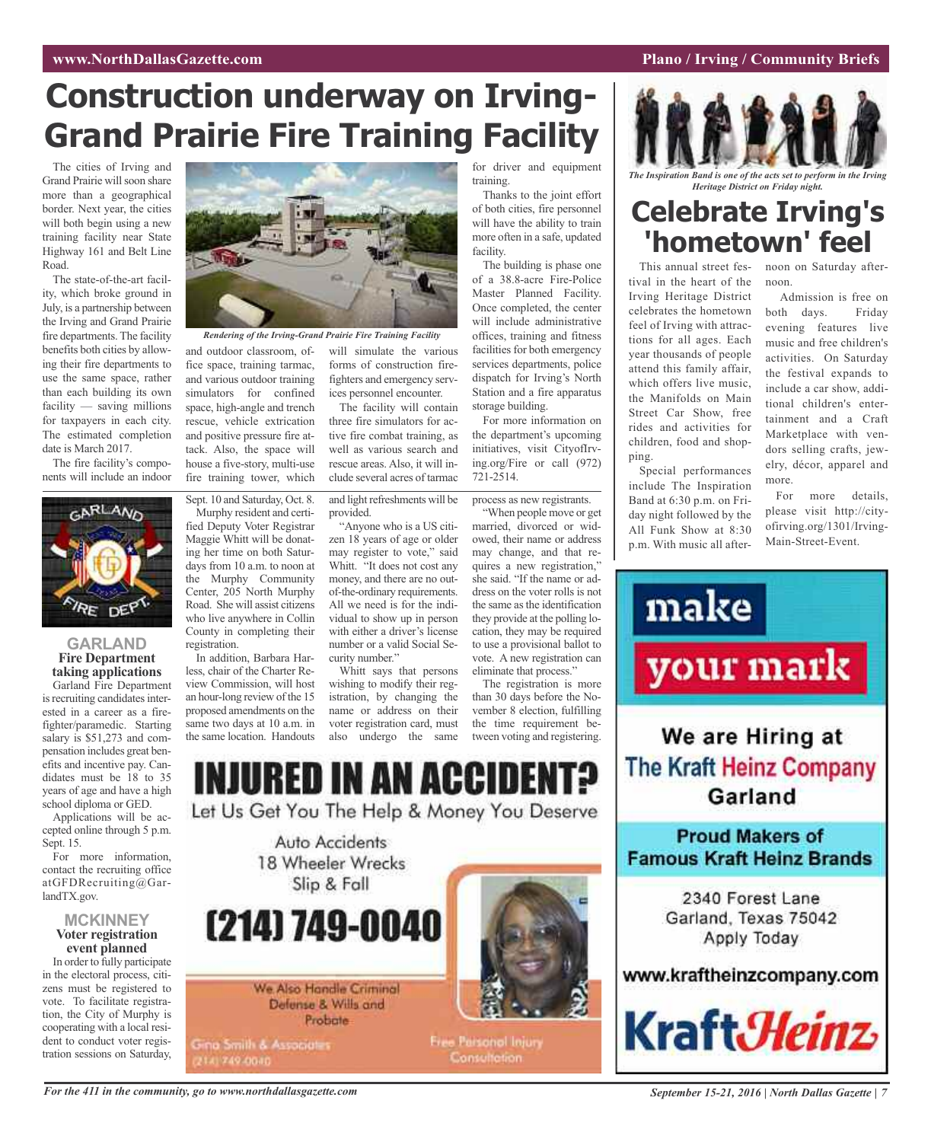### **Construction underway on Irving-Grand Prairie Fire Training Facility**

The cities of Irving and Grand Prairie will soon share more than a geographical border. Next year, the cities will both begin using a new training facility near State Highway 161 and Belt Line Road.

The state-of-the-art facility, which broke ground in July, is a partnership between the Irving and Grand Prairie fire departments. The facility benefits both cities by allowing their fire departments to use the same space, rather than each building its own facility — saving millions for taxpayers in each city. The estimated completion date is March 2017.

The fire facility's components will include an indoor



#### **GARLAND Fire Department taking applications**

Garland Fire Department is recruiting candidates interested in a career as a firefighter/paramedic. Starting salary is \$51,273 and compensation includes great benefits and incentive pay. Candidates must be 18 to 35 years of age and have a high school diploma or GED.

Applications will be accepted online through 5 p.m. Sept. 15.

For more information, contact the recruiting office atGFDRecruiting@GarlandTX.gov.

#### **MCKINNEY Voter registration event planned**

In order to fully participate in the electoral process, citizens must be registered to vote. To facilitate registration, the City of Murphy is cooperating with a local resident to conduct voter registration sessions on Saturday,



*Rendering of the Irving-Grand Prairie Fire Training Facility*

and outdoor classroom, office space, training tarmac, and various outdoor training simulators for confined space, high-angle and trench rescue, vehicle extrication and positive pressure fire attack. Also, the space will house a five-story, multi-use fire training tower, which

Sept. 10 and Saturday, Oct. 8. Murphy resident and certified Deputy Voter Registrar Maggie Whitt will be donating her time on both Saturdays from 10 a.m. to noon at the Murphy Community Center, 205 North Murphy Road. She will assist citizens who live anywhere in Collin County in completing their registration.

In addition, Barbara Harless, chair of the Charter Review Commission, will host an hour-long review of the 15 proposed amendments on the same two days at 10 a.m. in the same location. Handouts

will simulate the various forms of construction firefighters and emergency services personnel encounter.

The facility will contain three fire simulators for active fire combat training, as well as various search and rescue areas. Also, it will include several acres of tarmac

and light refreshments will be provided.

"Anyone who is a US citizen 18 years of age or older may register to vote," said Whitt. "It does not cost any money, and there are no outof-the-ordinary requirements. All we need is for the individual to show up in person with either a driver's license number or a valid Social Security number."

Whitt says that persons wishing to modify their registration, by changing the name or address on their voter registration card, must also undergo the same

for driver and equipment training.

Thanks to the joint effort of both cities, fire personnel will have the ability to train more often in a safe, updated facility.

The building is phase one of a 38.8-acre Fire-Police Master Planned Facility. Once completed, the center will include administrative offices, training and fitness facilities for both emergency services departments, police dispatch for Irving's North Station and a fire apparatus storage building.

For more information on the department's upcoming initiatives, visit CityofIrving.org/Fire or call (972) 721-2514.

process as new registrants.

"When people move or get married, divorced or widowed, their name or address may change, and that requires a new registration," she said. "If the name or address on the voter rolls is not the same as the identification they provide at the polling location, they may be required to use a provisional ballot to vote. A new registration can eliminate that process."

The registration is more than 30 days before the November 8 election, fulfilling the time requirement between voting and registering.



We Also Handle Criminal Defense & Wills and Probate

**Gina Smith & Associates** 2141749-0040



Free Parsonal Injury Consultation

*The Inspiration Band is one of the acts set to perform in the Irving Heritage District on Friday night.*

### **Celebrate Irving's 'hometown' feel**

tival in the heart of the Irving Heritage District celebrates the hometown feel of Irving with attractions for all ages. Each year thousands of people attend this family affair, which offers live music, the Manifolds on Main Street Car Show, free rides and activities for children, food and shopping.

Special performances include The Inspiration Band at 6:30 p.m. on Friday night followed by the All Funk Show at 8:30 p.m. With music all after-

This annual street fes-noon on Saturday afternoon.

> Admission is free on both days. Friday evening features live music and free children's activities. On Saturday the festival expands to include a car show, additional children's entertainment and a Craft Marketplace with vendors selling crafts, jewelry, décor, apparel and more.

> For more details, please visit http://cityofirving.org/1301/Irving-Main-Street-Event.





#### For the 411 in the community, go to www.northdallasgazette.com September 15-21, 2016 | North Dallas Gazette | 7

#### *WWW.NorthDallasGazette.com* **Plano** */* **Irving** */* **Community** Briefs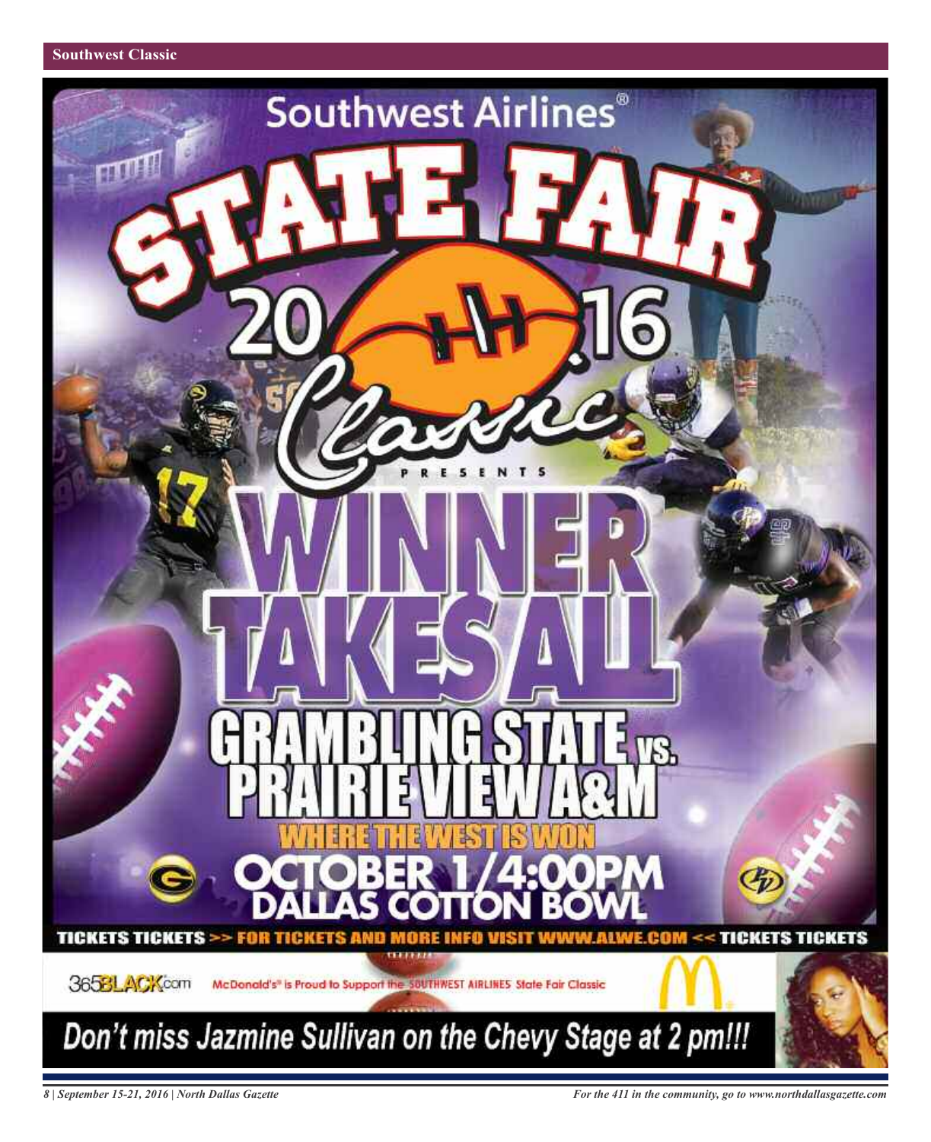

*8 | September 15-21, 2016 | North Dallas Gazette*

*For the 411 in the community, go to www.northdallasgazette.com*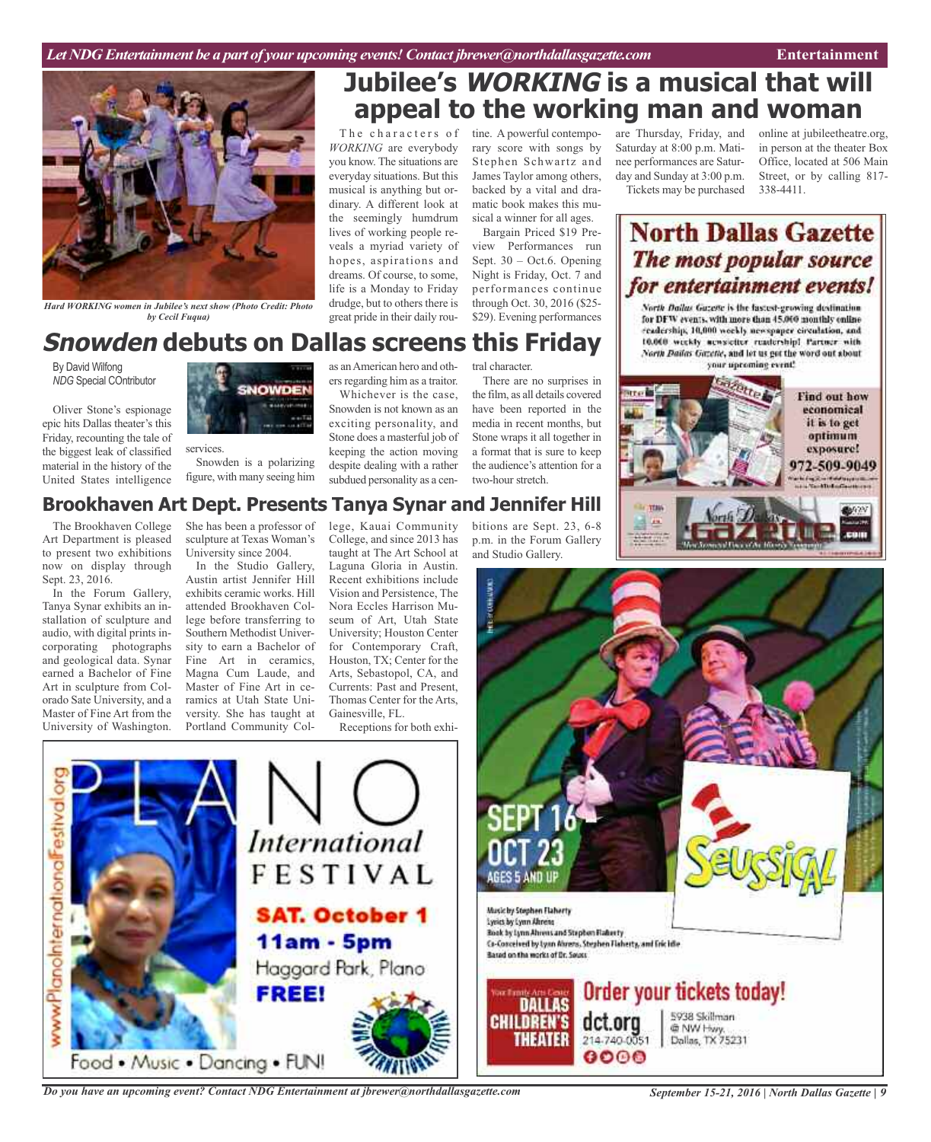

*Hard WORKING women in Jubilee's next show (Photo Credit: Photo by Cecil Fuqua)*

#### **Snowden debuts on Dallas screens this Friday** as anAmerican hero and oth-

By David Wilfong *NDG* Special COntributor

Oliver Stone's espionage epic hits Dallas theater's this Friday, recounting the tale of the biggest leak of classified material in the history of the United States intelligence



services. Snowden is a polarizing figure, with many seeing him ers regarding him as a traitor.

*WORKING* are everybody you know. The situations are everyday situations. But this musical is anything but ordinary. A different look at the seemingly humdrum lives of working people reveals a myriad variety of hopes, aspirations and dreams. Of course, to some, life is a Monday to Friday drudge, but to others there is great pride in their daily rou-

Whichever is the case, Snowden is not known as an exciting personality, and Stone does a masterful job of keeping the action moving despite dealing with a rather subdued personality as a cen-

tral character.

The characters of tine. A powerful contempo-

There are no surprises in the film, as all details covered have been reported in the media in recent months, but Stone wraps it all together in a format that is sure to keep the audience's attention for a two-hour stretch.

rary score with songs by Stephen Schwartz and James Taylor among others, backed by a vital and dramatic book makes this musical a winner for all ages. Bargain Priced \$19 Preview Performances run Sept. 30 – Oct.6. Opening Night is Friday, Oct. 7 and performances continue through Oct. 30, 2016 (\$25- \$29). Evening performances

**Jubilee's WORKING is a musical that will**

**appeal to the working man and woman**

bitions are Sept. 23, 6-8 p.m. in the Forum Gallery

and Studio Gallery.

are Thursday, Friday, and Saturday at 8:00 p.m. Matinee performances are Saturday and Sunday at 3:00 p.m. Tickets may be purchased online at jubileetheatre.org, in person at the theater Box Office, located at 506 Main Street, or by calling 817- 338-4411.

### **North Dallas Gazette** The most popular source for entertainment events!

North Dailus Guzeste is the fastest-growing destination. for DFW events, with more than 45.000 monthly enline readership, 10,000 workly newspaper circulation, and 10.000 weekly acosiciter readership! Partner with North Bailes Gezette, and let us get the word out about your upcoming event!



#### **Brookhaven Art Dept. Presents Tanya Synar and Jennifer Hill**

*International* 

FESTIVAL

**SAT. October 1** 

Haggard Park, Plano

**11am - 5pm** 

The Brookhaven College Art Department is pleased to present two exhibitions now on display through Sept. 23, 2016.

In the Forum Gallery, Tanya Synar exhibits an installation of sculpture and audio, with digital prints incorporating photographs and geological data. Synar earned a Bachelor of Fine Art in sculpture from Colorado Sate University, and a Master of Fine Art from the University of Washington.

ö

www.PlanoInternationalFestival

She has been a professor of sculpture at Texas Woman's University since 2004.

In the Studio Gallery, Austin artist Jennifer Hill exhibits ceramic works. Hill attended Brookhaven College before transferring to Southern Methodist University to earn a Bachelor of Fine Art in ceramics. Magna Cum Laude, and Master of Fine Art in ceramics at Utah State University. She has taught at Portland Community College, Kauai Community College, and since 2013 has taught at The Art School at Laguna Gloria in Austin. Recent exhibitions include Vision and Persistence, The Nora Eccles Harrison Museum of Art, Utah State University; Houston Center for Contemporary Craft, Houston, TX; Center for the Arts, Sebastopol, CA, and Currents: Past and Present, Thomas Center for the Arts, Gainesville, FL.

Receptions for both exhi-



*Do you have an upcoming event? Contact NDG Entertainment at jbrewer@northdallasgazette.com*

Food . Music . Dancing . FUN!

**FREE!**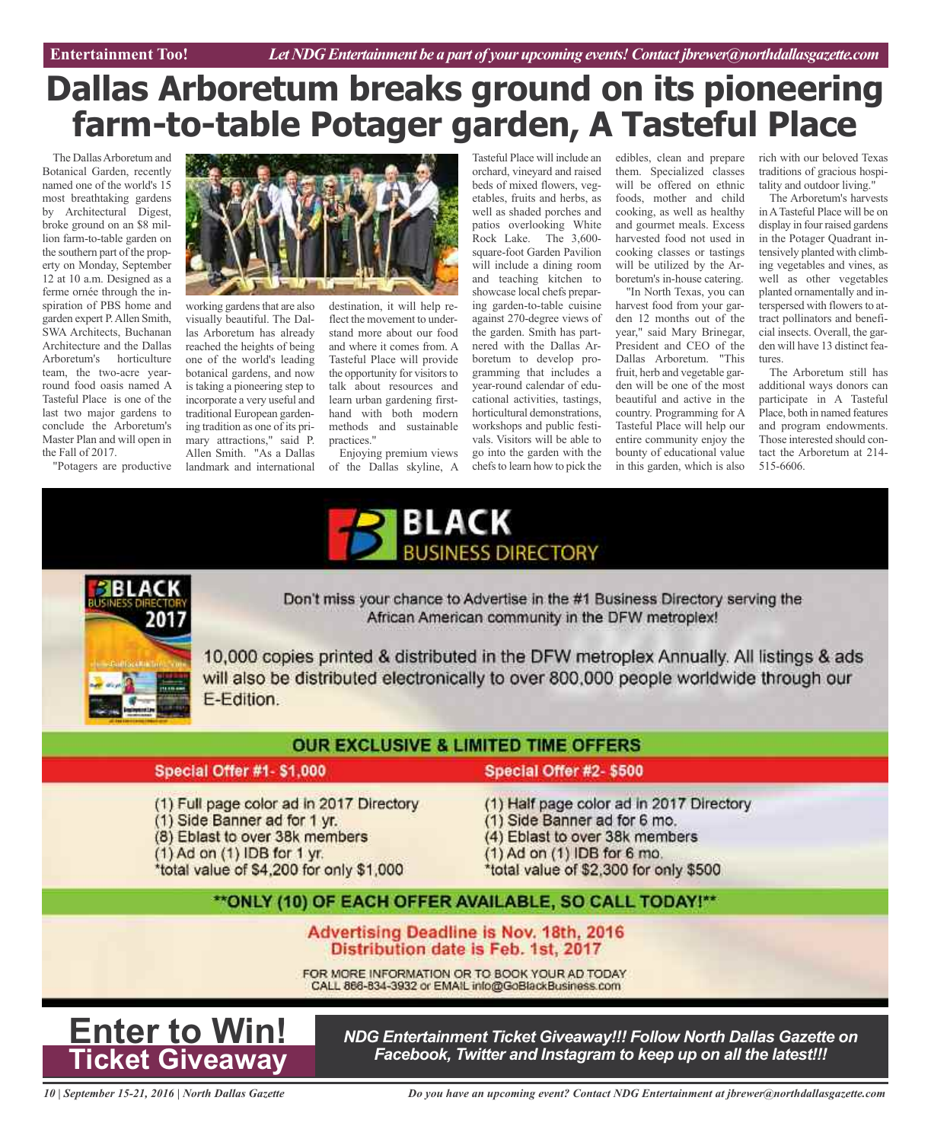### **Dallas Arboretum breaks ground on its pioneering farm-to-table Potager garden, A Tasteful Place**

The Dallas Arboretum and Botanical Garden, recently named one of the world's 15 most breathtaking gardens by Architectural Digest, broke ground on an \$8 million farm-to-table garden on the southern part of the property on Monday, September 12 at 10 a.m. Designed as a ferme ornée through the inspiration of PBS home and garden expert P.Allen Smith, SWA Architects, Buchanan Architecture and the Dallas Arboretum's horticulture team, the two-acre yearround food oasis named A Tasteful Place is one of the last two major gardens to conclude the Arboretum's Master Plan and will open in the Fall of 2017.



working gardens that are also visually beautiful. The Dallas Arboretum has already reached the heights of being one of the world's leading botanical gardens, and now is taking a pioneering step to incorporate a very useful and traditional European gardening tradition as one of its pri-

mary attractions," said P. Allen Smith. "As a Dallas landmark and international

destination, it will help reflect the movement to understand more about our food and where it comes from. A Tasteful Place will provide the opportunity for visitors to talk about resources and learn urban gardening firsthand with both modern methods and sustainable practices."

Enjoying premium views of the Dallas skyline, A

Tasteful Place will include an orchard, vineyard and raised beds of mixed flowers, vegetables, fruits and herbs, as well as shaded porches and patios overlooking White Rock Lake. The 3,600 square-foot Garden Pavilion will include a dining room and teaching kitchen to showcase local chefs preparing garden-to-table cuisine against 270-degree views of the garden. Smith has partnered with the Dallas Arboretum to develop programming that includes a year-round calendar of educational activities, tastings, horticultural demonstrations, workshops and public festivals. Visitors will be able to go into the garden with the chefs to learn how to pick the

edibles, clean and prepare them. Specialized classes will be offered on ethnic foods, mother and child cooking, as well as healthy and gourmet meals. Excess harvested food not used in cooking classes or tastings will be utilized by the Arboretum's in-house catering.

"In North Texas, you can harvest food from your garden 12 months out of the year," said Mary Brinegar, President and CEO of the Dallas Arboretum. "This fruit, herb and vegetable garden will be one of the most beautiful and active in the country. Programming for A Tasteful Place will help our entire community enjoy the bounty of educational value in this garden, which is also

rich with our beloved Texas traditions of gracious hospitality and outdoor living."

The Arboretum's harvests inATasteful Place will be on display in four raised gardens in the Potager Quadrant intensively planted with climbing vegetables and vines, as well as other vegetables planted ornamentally and interspersed with flowers to attract pollinators and beneficial insects. Overall, the garden will have 13 distinct features.

The Arboretum still has additional ways donors can participate in A Tasteful Place, both in named features and program endowments. Those interested should contact the Arboretum at 214- 515-6606.





Don't miss your chance to Advertise in the #1 Business Directory serving the African American community in the DFW metroplex!

10,000 copies printed & distributed in the DFW metroplex Annually. All listings & ads will also be distributed electronically to over 800,000 people worldwide through our E-Edition.

#### **OUR EXCLUSIVE & LIMITED TIME OFFERS**

#### Special Offer #1- \$1,000

(1) Full page color ad in 2017 Directory

- (1) Side Banner ad for 1 yr.
- (8) Eblast to over 38k members
- $(1)$  Ad on  $(1)$  IDB for 1 yr.

\*total value of \$4,200 for only \$1,000

- Special Offer #2-\$500
- (1) Half page color ad in 2017 Directory
- (1) Side Banner ad for 6 mo.
- (4) Eblast to over 38k members
- (1) Ad on (1) IDB for 6 mo.
- \*total value of \$2,300 for only \$500

#### \*\* ONLY (10) OF EACH OFFER AVAILABLE, SO CALL TODAY!\*\*

#### Advertising Deadline is Nov. 18th, 2016 Distribution date is Feb. 1st, 2017

FOR MORE INFORMATION OR TO BOOK YOUR AD TODAY CALL 866-834-3932 or EMAIL info@GoBlackBusiness.com



*NDG Entertainment Ticket Giveaway!!! Follow North Dallas Gazette on Facebook, Twitter and Instagram to keep up on all the latest!!!*

*10 | September 15-21, 2016 | North Dallas Gazette*

*Do you have an upcoming event? Contact NDG Entertainment at jbrewer@northdallasgazette.com*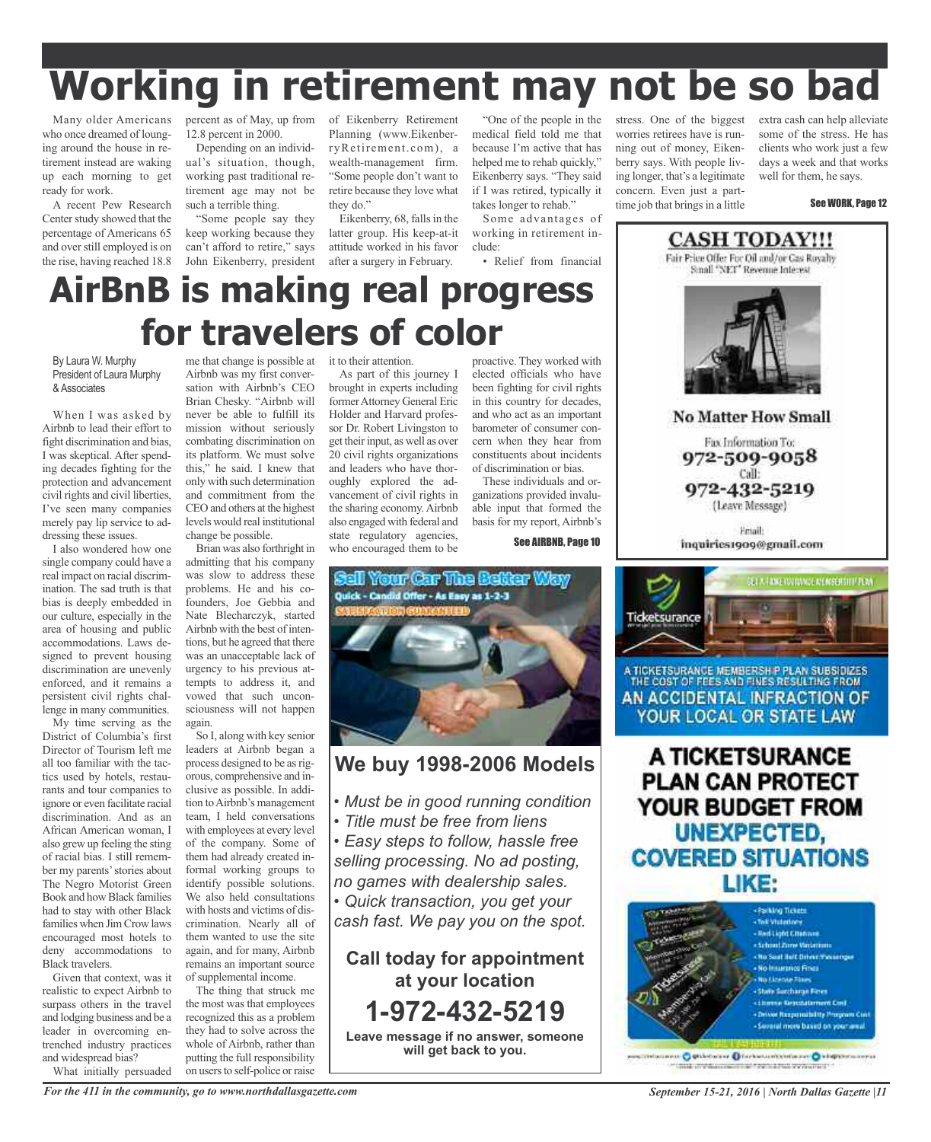# **Working in retirement may not be so bad**

Many older Americans who once dreamed of lounging around the house in retirement instead are waking up each morning to get ready for work.

A recent Pew Research Center study showed that the percentage of Americans 65 and overstill employed is on the rise, having reached 18.8

percent as of May, up from of Eikenberry Retirement 12.8 percent in 2000.

Depending on an individual's situation, though, working past traditional retirement age may not be such a terrible thing.

"Some people say they keep working because they can't afford to retire," says John Eikenberry, president

Planning (www.EikenberryRetirement.com), a wealth-management firm. "Some people don't want to retire because they love what they do."

Eikenberry, 68, falls in the latter group. His keep-at-it attitude worked in his favor working in retirement include:

• Relief from financial

takes longer to rehab." Some advantages of

"One of the people in the medical field told me that because I'm active that has helped me to rehab quickly," Eikenberry says. "They said if I was retired, typically it worries retirees have is running out of money, Eikenberry says. With people living longer, that's a legitimate concern. Even just a parttime job that brings in a little

stress. One of the biggest extra cash can help alleviate some of the stress. He has clients who work just a few days a week and that works well for them, he says.

See WORK, Page 12

### after a surgery in February. **AirBnB is making real progress for travelers of color**

#### By Laura W. Murphy President of Laura Murphy & Associates

When I was asked by Airbnb to lead their effort to fight discrimination and bias, I was skeptical. After spending decades fighting for the protection and advancement civil rights and civil liberties, I've seen many companies merely pay lip service to addressing these issues.

I also wondered how one single company could have a real impact on racial discrimination. The sad truth is that bias is deeply embedded in our culture, especially in the area of housing and public accommodations. Laws designed to prevent housing discrimination are unevenly enforced, and it remains a persistent civil rights challenge in many communities.

My time serving as the District of Columbia's first Director of Tourism left me all too familiar with the tactics used by hotels, restaurants and tour companies to ignore or even facilitate racial discrimination. And as an African American woman, I also grew up feeling the sting of racial bias. I still remember my parents' stories about The Negro Motorist Green Book and how Black families had to stay with other Black families when Jim Crow laws encouraged most hotels to deny accommodations to Black travelers.

Given that context, was it realistic to expect Airbnb to surpass others in the travel and lodging business and be a leader in overcoming entrenched industry practices and widespread bias?

What initially persuaded

Airbnb was my first conversation with Airbnb's CEO Brian Chesky. "Airbnb will never be able to fulfill its mission without seriously combating discrimination on its platform. We must solve this," he said. I knew that only with such determination and commitment from the CEO and others at the highest levels would real institutional change be possible.

Brian was also forthright in admitting that his company was slow to address these problems. He and his cofounders, Joe Gebbia and Nate Blecharczyk, started Airbnb with the best of intentions, but he agreed that there was an unacceptable lack of urgency to his previous attempts to address it, and vowed that such unconsciousness will not happen again.

So I, along with key senior leaders at Airbnb began a process designed to be as rigorous, comprehensive and inclusive as possible. In addition to Airbnb's management team, I held conversations with employees at every level of the company. Some of them had already created informal working groups to identify possible solutions. We also held consultations with hosts and victims of discrimination. Nearly all of them wanted to use the site again, and for many, Airbnb remains an important source of supplemental income.

The thing that struck me the most was that employees recognized this as a problem they had to solve across the whole of Airbnb, rather than putting the full responsibility on users to self-police or raise

#### me that change is possible at it to their attention.

As part of this journey I brought in experts including formerAttorney General Eric Holder and Harvard professor Dr. Robert Livingston to get their input, as well as over 20 civil rights organizations and leaders who have thoroughly explored the advancement of civil rights in the sharing economy. Airbnb also engaged with federal and state regulatory agencies, who encouraged them to be

proactive. They worked with elected officials who have been fighting for civil rights in this country for decades, and who act as an important barometer of consumer concern when they hear from constituents about incidents of discrimination or bias.

These individuals and organizations provided invaluable input that formed the basis for my report, Airbnb's

See AIRBNB, Page 10



#### **We buy 1998-2006 Models**

- *• Must be in good running condition*
- *• Title must be free from liens*
- *• Easy steps to follow, hassle free selling processing. No ad posting, no games with dealership sales.*

*• Quick transaction, you get your cash fast. We pay you on the spot.*

**Call today for appointment at your location 1-972-432-5219 Leave message if no answer, someone will get back to you.**



972-509-9058 Call: 972-432-5219 (Leave Message)

Friail inquiries1909@gmail.com



A TICKETSURANCE MEMBERSH P PLAN SUBSIDIZES THE COST OF FEES AND FINES RESULTING FROM AN ACCIDENTAL INFRACTION OF YOUR LOCAL OR STATE LAW

A TICKETSURANCE **PLAN CAN PROTECT** YOUR BUDGET FROM UNEXPECTED, **COVERED SITUATIONS** LIKE:



intarance: O pittotalane O forthermitchinesier O kingsteinserras mil investigation of rendred venience

*For the 411 in the community, go to www.northdallasgazette.com*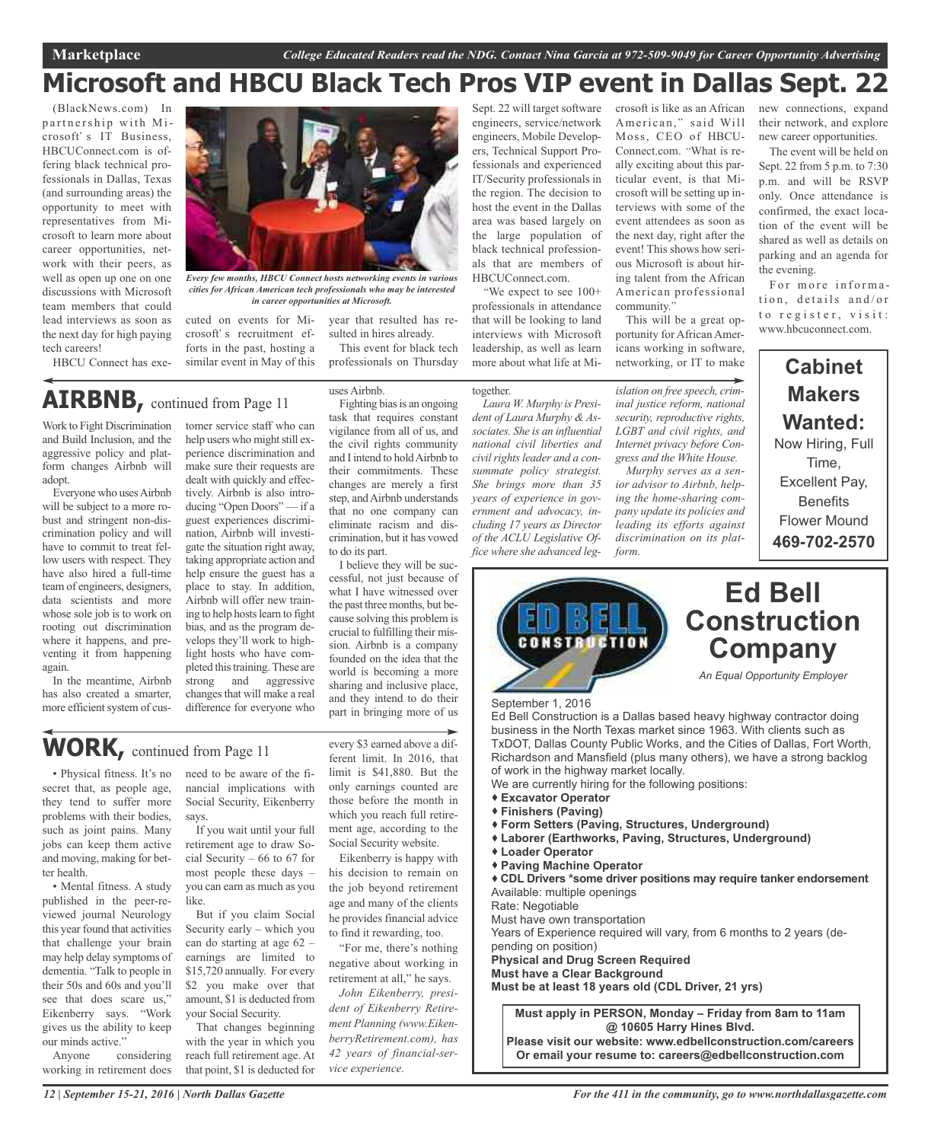### **Microsoft and HBCU Black Tech Pros VIP event in Dallas Sept. 22**

(BlackNews.com) In partnership with Microsoft's IT Business, HBCUConnect.com is offering black technical professionals in Dallas, Texas (and surrounding areas) the opportunity to meet with representatives from Microsoft to learn more about career opportunities, network with their peers, as well as open up one on one discussions with Microsoft team members that could lead interviews as soon as the next day for high paying tech careers! HBCU Connect has exe-

*Every few months, HBCU Connect hosts networking events in various cities for African American tech professionals who may be interested in career opportunities at Microsoft.*

uses Airbnb.

to do its part.

Fighting bias is an ongoing task that requires constant vigilance from all of us, and the civil rights community and I intend to holdAirbnb to their commitments. These changes are merely a first step, and Airbnb understands that no one company can eliminate racism and discrimination, but it has vowed

year that resulted has resulted in hires already. This event for black tech professionals on Thursday

I believe they will be suc-

what I have witnessed over the past three months, but because solving this problem is crucial to fulfilling their mission. Airbnb is a company founded on the idea that the world is becoming a more sharing and inclusive place, and they intend to do their part in bringing more of us

cuted on events for Microsoft's recruitment efforts in the past, hosting a similar event in May of this

## **AIRBNB,** continued from Page <sup>11</sup>

Work to Fight Discrimination and Build Inclusion, and the aggressive policy and platform changes Airbnb will adopt.

Everyone who usesAirbnb will be subject to a more robust and stringent non-discrimination policy and will have to commit to treat fellow users with respect. They have also hired a full-time team of engineers, designers, data scientists and more whose sole job is to work on rooting out discrimination where it happens, and preventing it from happening again.

In the meantime, Airbnb has also created a smarter, more efficient system of cus-

tomer service staff who can help users who might still experience discrimination and make sure their requests are dealt with quickly and effectively. Airbnb is also introducing "Open Doors" — if a guest experiences discrimination, Airbnb will investigate the situation right away, taking appropriate action and help ensure the guest has a place to stay. In addition, Airbnb will offer new training to help hosts learn to fight bias, and as the program develops they'll work to highlight hosts who have completed this training. These are strong and aggressive changes that will make a real difference for everyone who

### **WORK,** continued from Page <sup>11</sup>

• Physical fitness. It's no secret that, as people age, they tend to suffer more problems with their bodies, such as joint pains. Many jobs can keep them active and moving, making for better health.

• Mental fitness. A study published in the peer-reviewed journal Neurology this year found that activities that challenge your brain may help delay symptoms of dementia. "Talk to people in their 50s and 60s and you'll see that does scare us," Eikenberry says. "Work gives us the ability to keep our minds active."

Anyone considering working in retirement does

need to be aware of the financial implications with Social Security, Eikenberry says.

If you wait until your full retirement age to draw Social Security – 66 to 67 for most people these days – you can earn as much as you like.

But if you claim Social Security early – which you can do starting at age 62 – earnings are limited to \$15,720 annually. For every \$2 you make over that amount, \$1 is deducted from your Social Security.

That changes beginning with the year in which you reach full retirement age. At that point, \$1 is deducted for

every \$3 earned above a different limit. In 2016, that limit is \$41,880. But the only earnings counted are those before the month in which you reach full retirement age, according to the Social Security website.

Eikenberry is happy with his decision to remain on the job beyond retirement age and many of the clients he provides financial advice to find it rewarding, too.

"For me, there's nothing negative about working in retirement at all," he says.

*John Eikenberry, president of Eikenberry Retirement Planning (www.EikenberryRetirement.com), has 42 years of financial-service experience.*

Sept. 22 will target software engineers, service/network engineers, Mobile Developers, Technical Support Professionals and experienced IT/Security professionals in the region. The decision to host the event in the Dallas area was based largely on the large population of black technical professionals that are members of HBCUConnect.com.

We expect to see 100+ professionals in attendance that will be looking to land interviews with Microsoft leadership, as well as learn more about what life at Mi-

#### together.

*Laura W. Murphy is President of Laura Murphy & Associates. She is an influential national civil liberties and*  $c$ *ivil rights leader and a consummate policy strategist. She brings more than 35 years of experience in government and advocacy, including 17 years as Director of the ACLU Legislative Office where she advanced leg-* crosoft is like as an African American," said Will Moss, CEO of HBCU-Connect.com. What is really exciting about this particular event, is that Microsoft will be setting up interviews with some of the event attendees as soon as the next day, right after the event! This shows how serious Microsoft is about hiring talent from the African American professional community.

This will be a great opportunity for African Americans working in software, networking, or IT to make

*islation on free speech, criminal justice reform, national security, reproductive rights, LGBT and civil rights, and Internet privacy before Congress and the White House.*

*Murphy serves as a senior advisor to Airbnb, helping the home-sharing company update its policies and leading its efforts against discrimination on its platform.*

new connections, expand their network, and explore new career opportunities.

The event will be held on Sept. 22 from 5 p.m. to 7:30 p.m. and will be RSVP only. Once attendance is confirmed, the exact location of the event will be shared as well as details on parking and an agenda for the evening.

For more information, details and/or to register, visit: www.hbcuconnect.com.

#### **Cabinet Makers Wanted:** Now Hiring, Full Time, Excellent Pay, **Benefits** Flower Mound **469-702-2570**



Ed Bell Construction is a Dallas based heavy highway contractor doing business in the North Texas market since 1963. With clients such as TxDOT, Dallas County Public Works, and the Cities of Dallas, Fort Worth, Richardson and Mansfield (plus many others), we have a strong backlog of work in the highway market locally.

We are currently hiring for the following positions:

- **Excavator Operator**
- **Finishers (Paving)**
- **Form Setters (Paving, Structures, Underground)**
- **Laborer (Earthworks, Paving, Structures, Underground)**
- **Loader Operator**
- **Paving Machine Operator**

 **CDL Drivers \*some driver positions may require tanker endorsement** Available: multiple openings

Rate: Negotiable

Must have own transportation

Years of Experience required will vary, from 6 months to 2 years (depending on position)

**Physical and Drug Screen Required**

**Must have a Clear Background**

**Must be at least 18 years old (CDL Driver, 21 yrs)**

**Must apply in PERSON, Monday – Friday from 8am to 11am @ 10605 Harry Hines Blvd.**

**Please visit our website: www.edbellconstruction.com/careers Or email your resume to: careers@edbellconstruction.com**

cessful, not just because of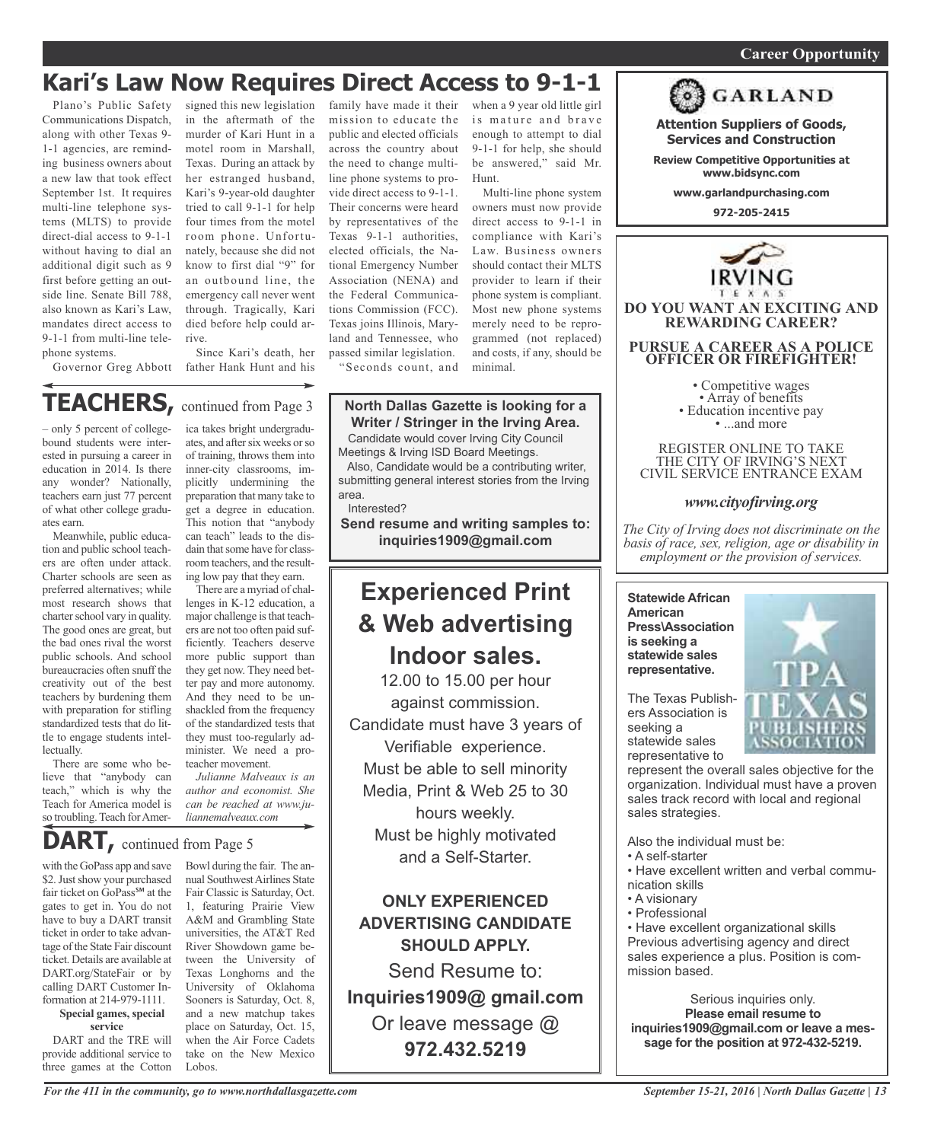#### *On a quest for qualified candidates? Contact Nina Garcia at 972-509-9049* **Career Opportunity**

### **Kari's Law Now Requires Direct Access to 9-1-1**

Plano's Public Safety Communications Dispatch, along with other Texas 9- 1-1 agencies, are reminding business owners about a new law that took effect September 1st. It requires multi-line telephone systems (MLTS) to provide direct-dial access to 9-1-1 without having to dial an additional digit such as 9 first before getting an outside line. Senate Bill 788, also known as Kari's Law, mandates direct access to 9-1-1 from multi-line telephone systems.

signed this new legislation in the aftermath of the murder of Kari Hunt in a motel room in Marshall, Texas. During an attack by her estranged husband, Kari's 9-year-old daughter tried to call 9-1-1 for help four times from the motel room phone. Unfortunately, because she did not know to first dial "9" for an outbound line, the emergency call never went through. Tragically, Kari died before help could arrive.

Governor Greg Abbott father Hank Hunt and his Since Kari's death, her

### **TEACHERS,** continued from Page <sup>3</sup>

– only 5 percent of collegebound students were interested in pursuing a career in education in 2014. Is there any wonder? Nationally, teachers earn just 77 percent of what other college graduates earn.

Meanwhile, public education and public school teachers are often under attack. Charter schools are seen as preferred alternatives; while most research shows that charter school vary in quality. The good ones are great, but the bad ones rival the worst public schools. And school bureaucracies often snuff the creativity out of the best teachers by burdening them with preparation for stifling standardized tests that do little to engage students intellectually.

There are some who believe that "anybody can teach," which is why the Teach for America model is so troubling. Teach for Amer-

ica takes bright undergraduates, and after six weeks or so of training, throws them into inner-city classrooms, implicitly undermining the preparation that many take to get a degree in education. This notion that "anybody can teach" leads to the disdain that some have for classroom teachers, and the resulting low pay that they earn.

There are a myriad of challenges in K-12 education, a major challenge is that teachers are not too often paid sufficiently. Teachers deserve more public support than they get now. They need better pay and more autonomy. And they need to be unshackled from the frequency of the standardized tests that they must too-regularly administer. We need a proteacher movement.

*Julianne Malveaux is an author and economist. She can be reached at www.juliannemalveaux.com*

### **DART,** continued from Page <sup>5</sup>

with the GoPass app and save \$2. Just show your purchased fair ticket on GoPass<sup>s™</sup> at the gates to get in. You do not have to buy a DART transit ticket in order to take advantage of the State Fair discount ticket. Details are available at DART.org/StateFair or by calling DART Customer Information at 214-979-1111.

#### **Special games, special service**

DART and the TRE will provide additional service to three games at the Cotton

Bowl during the fair. The annual Southwest Airlines State Fair Classic is Saturday, Oct. 1, featuring Prairie View A&M and Grambling State universities, the AT&T Red River Showdown game between the University of Texas Longhorns and the University of Oklahoma Sooners is Saturday, Oct. 8, and a new matchup takes place on Saturday, Oct. 15, when the Air Force Cadets take on the New Mexico Lobos.

family have made it their mission to educate the public and elected officials across the country about the need to change multiline phone systems to provide direct access to 9-1-1. Their concerns were heard by representatives of the Texas 9-1-1 authorities, elected officials, the National Emergency Number Association (NENA) and the Federal Communications Commission (FCC). Texas joins Illinois, Maryland and Tennessee, who passed similar legislation.

"Seconds count, and

#### **North Dallas Gazette is looking for a Writer / Stringer in the Irving Area.**

Candidate would cover Irving City Council Meetings & Irving ISD Board Meetings.

Also, Candidate would be a contributing writer, submitting general interest stories from the Irving area.

Interested?

**Send resume and writing samples to: inquiries1909@gmail.com**

### **Experienced Print & Web advertising Indoor sales.**

12.00 to 15.00 per hour against commission. Candidate must have 3 years of Verifiable experience. Must be able to sell minority Media, Print & Web 25 to 30 hours weekly. Must be highly motivated and a Self-Starter.

**ONLY EXPERIENCED ADVERTISING CANDIDATE SHOULD APPLY.**

Send Resume to: **Inquiries1909@ gmail.com** Or leave message @ **972.432.5219**

when a 9 year old little girl is mature and brave enough to attempt to dial 9-1-1 for help, she should be answered," said Mr. Hunt.

Multi-line phone system owners must now provide direct access to 9-1-1 in compliance with Kari's Law. Business owners should contact their MLTS provider to learn if their phone system is compliant. Most new phone systems merely need to be reprogrammed (not replaced) and costs, if any, should be minimal.



**Attention Suppliers of Goods, Services and Construction**

**Review Competitive Opportunities at www.bidsync.com**

**www.garlandpurchasing.com**

**972-205-2415**



• Competitive wages<br>• Array of benefits<br>• Education incentive pay<br>• ...and more

REGISTER ONLINE TO TAKE THE CITY OF IRVING'S NEXT CIVIL SERVICE ENTRANCE EXAM

#### *www.cityofirving.org*

*The City of Irving does not discriminate on the basis of race, sex, religion, age or disability in employment or the provision of services.*

**Statewide African American Press\Association is seeking a statewide sales representative.**

The Texas Publishers Association is seeking a statewide sales representative to

represent the overall sales objective for the organization. Individual must have a proven sales track record with local and regional sales strategies.

Also the individual must be:

- A self-starter
- Have excellent written and verbal communication skills
- A visionary
- Professional

• Have excellent organizational skills Previous advertising agency and direct sales experience a plus. Position is commission based.

Serious inquiries only. **Please email resume to inquiries1909@gmail.com or leave a message for the position at 972-432-5219.**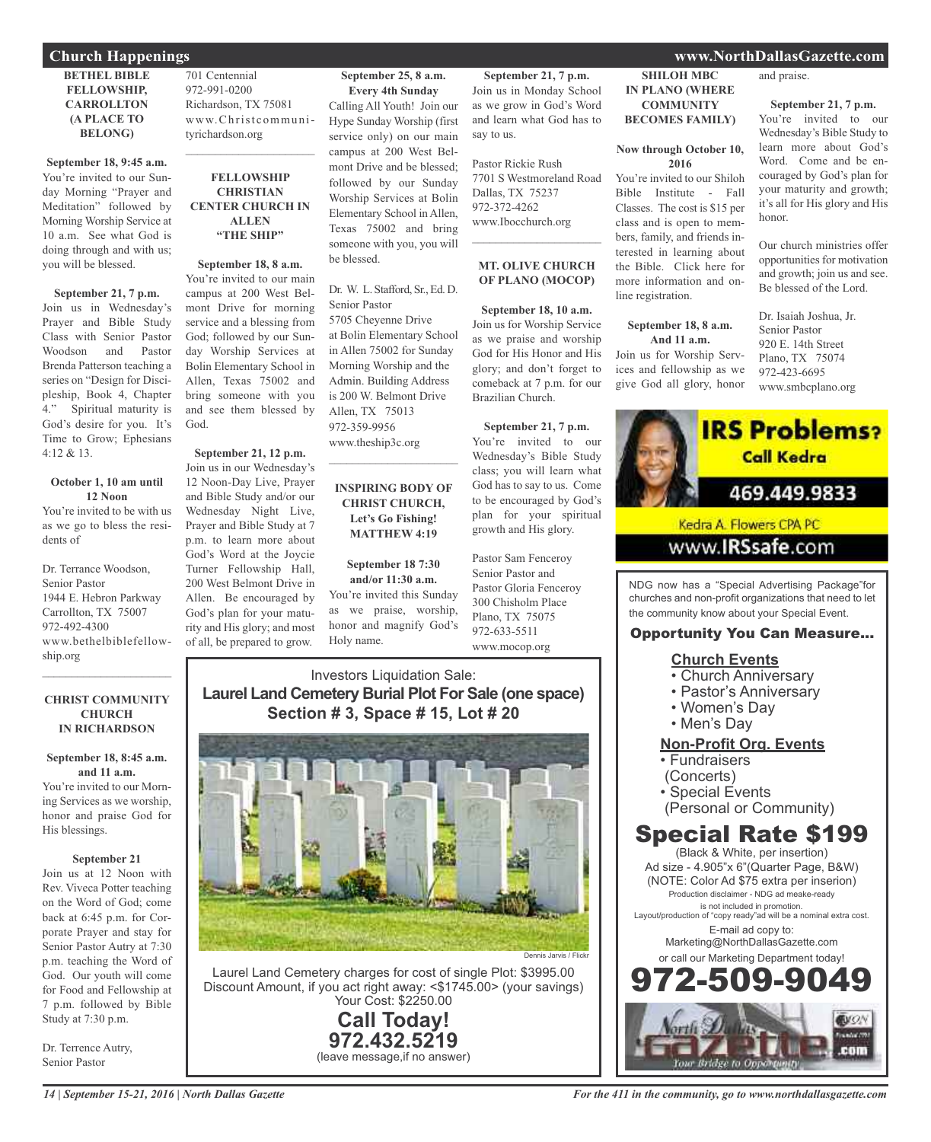#### **BETHEL BIBLE FELLOWSHIP, CARROLLTON (A PLACE TO BELONG)**

**September 18, 9:45 a.m.** You're invited to our Sunday Morning "Prayer and Meditation" followed by Morning Worship Service at 10 a.m. See what God is doing through and with us; you will be blessed.

**September 21, 7 p.m.** Join us in Wednesday's Prayer and Bible Study Class with Senior Pastor Woodson and Pastor Brenda Patterson teaching a series on "Design for Discipleship, Book 4, Chapter 4." Spiritual maturity is God's desire for you. It's Time to Grow; Ephesians 4:12 & 13.

#### **October 1, 10 am until 12 Noon**

You're invited to be with us as we go to bless the residents of

Dr. Terrance Woodson, Senior Pastor 1944 E. Hebron Parkway Carrollton, TX 75007 972-492-4300 www.bethelbiblefellowship.org

#### **CHRIST COMMUNITY CHURCH IN RICHARDSON**

 $\mathcal{L}$  , and the set of the set of the set of the set of the set of the set of the set of the set of the set of the set of the set of the set of the set of the set of the set of the set of the set of the set of the set

**September 18, 8:45 a.m. and 11 a.m.** You're invited to our Morning Services as we worship, honor and praise God for His blessings.

#### **September 21**

Join us at 12 Noon with Rev. Viveca Potter teaching on the Word of God; come back at 6:45 p.m. for Corporate Prayer and stay for Senior Pastor Autry at 7:30 p.m. teaching the Word of God. Our youth will come for Food and Fellowship at 7 p.m. followed by Bible Study at 7:30 p.m.

Dr. Terrence Autry, Senior Pastor

701 Centennial 972-991-0200 Richardson, TX 75081 www.Christcommunityrichardson.org

#### **FELLOWSHIP CHRISTIAN CENTER CHURCH IN ALLEN "THE SHIP"**

 $\mathcal{L}_\text{max}$  , which is a set of the set of the set of the set of the set of the set of the set of the set of the set of the set of the set of the set of the set of the set of the set of the set of the set of the set of

**September 18, 8 a.m.** You're invited to our main campus at 200 West Belmont Drive for morning service and a blessing from God; followed by our Sunday Worship Services at Bolin Elementary School in Allen, Texas 75002 and bring someone with you and see them blessed by God.

**September 21, 12 p.m.** Join us in our Wednesday's 12 Noon-Day Live, Prayer and Bible Study and/or our Wednesday Night Live, Prayer and Bible Study at 7 p.m. to learn more about God's Word at the Joycie Turner Fellowship Hall, 200 West Belmont Drive in Allen. Be encouraged by God's plan for your maturity and His glory; and most of all, be prepared to grow.

#### **September 25, 8 a.m.**

**Every 4th Sunday** Calling All Youth! Join our Hype Sunday Worship (first service only) on our main campus at 200 West Belmont Drive and be blessed; followed by our Sunday Worship Services at Bolin Elementary School in Allen, Texas 75002 and bring someone with you, you will be blessed.

Dr. W. L. Stafford, Sr., Ed. D. Senior Pastor 5705 Cheyenne Drive at Bolin Elementary School in Allen 75002 for Sunday Morning Worship and the Admin. Building Address is 200 W. Belmont Drive Allen, TX 75013 972-359-9956 www.theship3c.org

#### **INSPIRING BODY OF CHRIST CHURCH, Let's Go Fishing! MATTHEW 4:19**

 $\overline{\phantom{a}}$  , and the set of the set of the set of the set of the set of the set of the set of the set of the set of the set of the set of the set of the set of the set of the set of the set of the set of the set of the s

**September 18 7:30 and/or 11:30 a.m.**

You're invited this Sunday as we praise, worship, honor and magnify God's Holy name.

**September 21, 7 p.m.** Join us in Monday School as we grow in God's Word and learn what God has to say to us.

Pastor Rickie Rush 7701 S Westmoreland Road Dallas, TX 75237 972-372-4262 www.Ibocchurch.org  $\mathcal{L}$  , and the set of the set of the set of the set of the set of the set of the set of the set of the set of the set of the set of the set of the set of the set of the set of the set of the set of the set of the set

#### **MT. OLIVE CHURCH OF PLANO (MOCOP)**

**September 18, 10 a.m.** Join us for Worship Service as we praise and worship God for His Honor and His glory; and don't forget to comeback at 7 p.m. for our Brazilian Church.

**September 21, 7 p.m.** You're invited to our Wednesday's Bible Study class; you will learn what God has to say to us. Come to be encouraged by God's plan for your spiritual growth and His glory.

Pastor Sam Fenceroy Senior Pastor and Pastor Gloria Fenceroy 300 Chisholm Place Plano, TX 75075 972-633-5511 www.mocop.org

#### Investors Liquidation Sale: **Laurel Land Cemetery Burial Plot For Sale (one space) Section # 3, Space # 15, Lot # 20**



Laurel Land Cemetery charges for cost of single Plot: \$3995.00 Discount Amount, if you act right away: <\$1745.00> (your savings) Your Cost: \$2250.00

> **Call Today! 972.432.5219** (leave message,if no answer)

#### **Church Happenings www.NorthDallasGazette.com**

**SHILOH MBC IN PLANO (WHERE COMMUNITY BECOMES FAMILY)**

**Now through October 10, 2016** You're invited to our Shiloh Bible Institute - Fall Classes. The cost is \$15 per class and is open to members, family, and friends interested in learning about the Bible. Click here for more information and on-

line registration.

**September 18, 8 a.m. And 11 a.m.** Join us for Worship Services and fellowship as we give God all glory, honor and praise.

#### **September 21, 7 p.m.**

You're invited to our Wednesday's Bible Study to learn more about God's Word. Come and be encouraged by God's plan for your maturity and growth; it's all for His glory and His honor.

Our church ministries offer opportunities for motivation and growth; join us and see. Be blessed of the Lord.

Dr. Isaiah Joshua, Jr. Senior Pastor 920 E. 14th Street Plano, TX 75074 972-423-6695 www.smbcplano.org



www.**IRSsafe.com** 

NDG now has a "Special Advertising Package"for churches and non-profit organizations that need to let the community know about your Special Event.

#### Opportunity You Can Measure...

#### **Church Events**

- Church Anniversary
- Pastor's Anniversary
- Women's Day
- Men's Day

#### **Non-Profit Org. Events**

- Fundraisers
- (Concerts)
- Special Events
- (Personal or Community)

### Special Rate \$199

(Black & White, per insertion) Ad size - 4.905"x 6"(Quarter Page, B&W) (NOTE: Color Ad \$75 extra per inserion) Production disclaimer - NDG ad meake-ready is not included in promotion. Layout/production of "copy ready"ad will be a nominal extra cost. E-mail ad copy to: Marketing@NorthDallasGazette.com or call our Marketing Department today! 972-509-9049

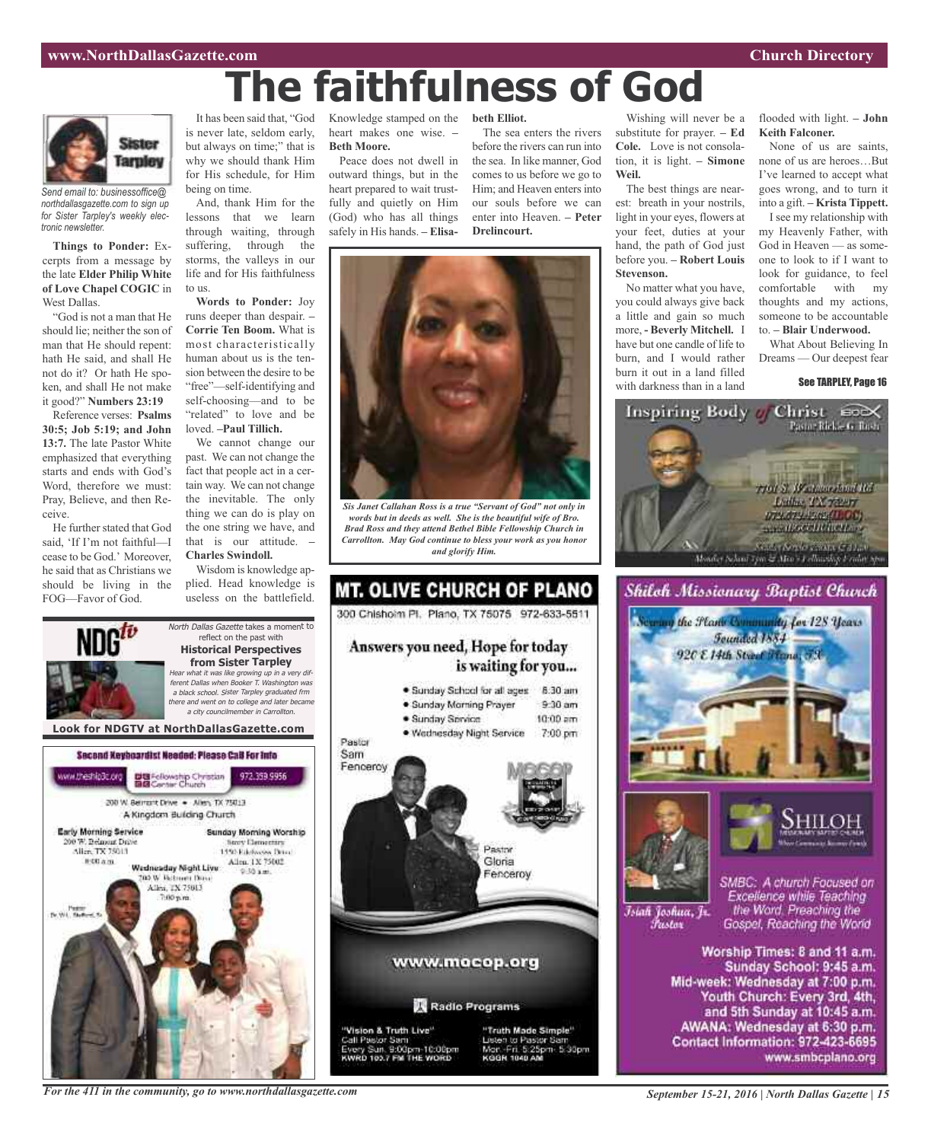

*Send email to: businessoffice@ northdallasgazette.com to sign up for Sister Tarpley's weekly electronic newsletter.*

**Things to Ponder:** Excerpts from a message by the late **Elder Philip White of Love Chapel COGIC** in West Dallas.

"God is not a man that He should lie; neither the son of man that He should repent: hath He said, and shall He not do it? Or hath He spoken, and shall He not make it good?" **Numbers 23:19**

Reference verses: **Psalms 30:5; Job 5:19; and John 13:7.** The late Pastor White emphasized that everything starts and ends with God's Word, therefore we must: Pray, Believe, and then Receive.

He further stated that God said, 'If I'm not faithful—I cease to be God.' Moreover, he said that as Christians we should be living in the FOG—Favor of God.

It has been said that, "God is never late, seldom early, but always on time;" that is why we should thank Him for His schedule, for Him being on time.

And, thank Him for the lessons that we learn through waiting, through suffering, through the storms, the valleys in our life and for His faithfulness to us.

**Words to Ponder:** Joy runs deeper than despair. **– Corrie Ten Boom.** What is most characteristically human about us is the tension between the desire to be "free"—self-identifying and self-choosing—and to be "related" to love and be loved. **–Paul Tillich.**

We cannot change our past. We can not change the fact that people act in a certain way. We can not change the inevitable. The only thing we can do is play on the one string we have, and that is our attitude. **– Charles Swindoll.**

Wisdom is knowledge applied. Head knowledge is useless on the battlefield.

North Dallas Gazette takes a moment to reflect on the past with **Historical Perspectives**

Knowledge stamped on the heart makes one wise. **– Beth Moore.**

Peace does not dwell in outward things, but in the heart prepared to wait trustfully and quietly on Him (God) who has all things safely in His hands. **– Elisa-**

**beth Elliot.**

**The faithfulness of God**

The sea enters the rivers before the rivers can run into the sea. In like manner, God comes to us before we go to Him; and Heaven enters into our souls before we can enter into Heaven. **– Peter Drelincourt.**



*Sis Janet Callahan Ross is a true "Servant of God" not only in words but in deeds as well. She is the beautiful wife of Bro. Brad Ross and they attend Bethel Bible Fellowship Church in Carrollton. May God continue to bless your work as you honor and glorify Him.*



Wishing will never be a substitute for prayer. **– Ed Cole.** Love is not consolation, it is light. **– Simone Weil.**

The best things are nearest: breath in your nostrils, light in your eyes, flowers at your feet, duties at your hand, the path of God just before you. **– Robert Louis Stevenson.**

No matter what you have, you could always give back a little and gain so much more, **- Beverly Mitchell.** I have but one candle of life to burn, and I would rather burn it out in a land filled with darkness than in a land

flooded with light. **– John Keith Falconer.**

None of us are saints, none of us are heroes…But I've learned to accept what goes wrong, and to turn it into a gift. **– Krista Tippett.**

I see my relationship with my Heavenly Father, with God in Heaven — as someone to look to if I want to look for guidance, to feel comfortable with my thoughts and my actions, someone to be accountable to. **– Blair Underwood.**

What About Believing In Dreams — Our deepest fear

See TARPLEY, Page 16







Islah Joshua, Jr. Fustor

SMBC: A church Focused on Excellence while Teaching the Word. Preaching the Gospel, Reaching the World

Worship Times: 8 and 11 a.m. Sunday School: 9:45 a.m. Mid-week: Wednesday at 7:00 p.m. Youth Church: Every 3rd, 4th, and 5th Sunday at 10:45 a.m. AWANA: Wednesday at 6:30 p.m. Contact Information: 972-423-6695 www.smbcplano.org



*For the 411 in the community, go to www.northdallasgazette.com*

*September 15-21, 2016 | North Dallas Gazette | 15*